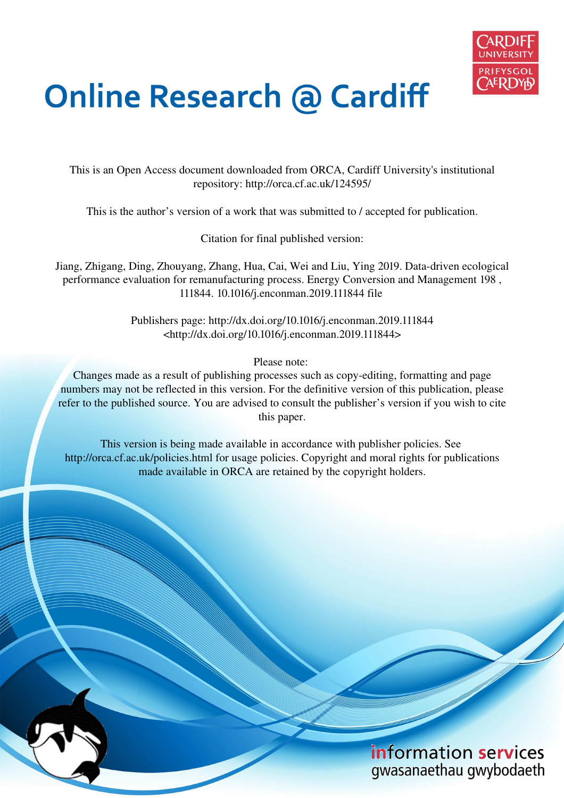

# **Online Research @ Cardiff**

This is an Open Access document downloaded from ORCA, Cardiff University's institutional repository: http://orca.cf.ac.uk/124595/

This is the author's version of a work that was submitted to / accepted for publication.

Citation for final published version:

Jiang, Zhigang, Ding, Zhouyang, Zhang, Hua, Cai, Wei and Liu, Ying 2019. Data-driven ecological performance evaluation for remanufacturing process. Energy Conversion and Management 198 , 111844. 10.1016/j.enconman.2019.111844 file

> Publishers page: http://dx.doi.org/10.1016/j.enconman.2019.111844 <http://dx.doi.org/10.1016/j.enconman.2019.111844>

> > Please note:

Changes made as a result of publishing processes such as copy-editing, formatting and page numbers may not be reflected in this version. For the definitive version of this publication, please refer to the published source. You are advised to consult the publisher's version if you wish to cite this paper.

This version is being made available in accordance with publisher policies. See http://orca.cf.ac.uk/policies.html for usage policies. Copyright and moral rights for publications made available in ORCA are retained by the copyright holders.

# information services gwasanaethau gwybodaeth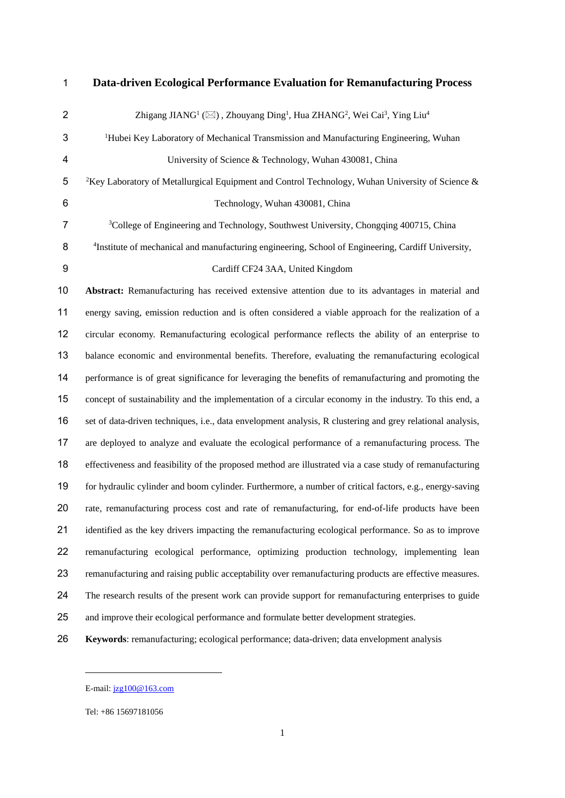# **Data-driven Ecological Performance Evaluation for Remanufacturing Process**

| $\overline{2}$ | Zhigang JIANG <sup>1</sup> ( $\boxtimes$ ), Zhouyang Ding <sup>1</sup> , Hua ZHANG <sup>2</sup> , Wei Cai <sup>3</sup> , Ying Liu <sup>4</sup> |
|----------------|------------------------------------------------------------------------------------------------------------------------------------------------|
| 3              | <sup>1</sup> Hubei Key Laboratory of Mechanical Transmission and Manufacturing Engineering, Wuhan                                              |
| $\overline{4}$ | University of Science & Technology, Wuhan 430081, China                                                                                        |
| 5              | <sup>2</sup> Key Laboratory of Metallurgical Equipment and Control Technology, Wuhan University of Science &                                   |
| 6              | Technology, Wuhan 430081, China                                                                                                                |
| $\overline{7}$ | <sup>3</sup> College of Engineering and Technology, Southwest University, Chongqing 400715, China                                              |
| 8              | <sup>4</sup> Institute of mechanical and manufacturing engineering, School of Engineering, Cardiff University,                                 |
| 9              | Cardiff CF24 3AA, United Kingdom                                                                                                               |
| 10             | Abstract: Remanufacturing has received extensive attention due to its advantages in material and                                               |
| 11             | energy saving, emission reduction and is often considered a viable approach for the realization of a                                           |
| 12             | circular economy. Remanufacturing ecological performance reflects the ability of an enterprise to                                              |
| 13             | balance economic and environmental benefits. Therefore, evaluating the remanufacturing ecological                                              |
| 14             | performance is of great significance for leveraging the benefits of remanufacturing and promoting the                                          |
| 15             | concept of sustainability and the implementation of a circular economy in the industry. To this end, a                                         |
| 16             | set of data-driven techniques, i.e., data envelopment analysis, R clustering and grey relational analysis,                                     |
| 17             | are deployed to analyze and evaluate the ecological performance of a remanufacturing process. The                                              |
| 18             | effectiveness and feasibility of the proposed method are illustrated via a case study of remanufacturing                                       |
| 19             | for hydraulic cylinder and boom cylinder. Furthermore, a number of critical factors, e.g., energy-saving                                       |
| 20             | rate, remanufacturing process cost and rate of remanufacturing, for end-of-life products have been                                             |
| 21             | identified as the key drivers impacting the remanufacturing ecological performance. So as to improve                                           |
| 22             | remanufacturing ecological performance, optimizing production technology, implementing lean                                                    |
| 23             | remanufacturing and raising public acceptability over remanufacturing products are effective measures.                                         |
| 24             | The research results of the present work can provide support for remanufacturing enterprises to guide                                          |
| 25             | and improve their ecological performance and formulate better development strategies.                                                          |
|                |                                                                                                                                                |

<span id="page-1-0"></span>**Keywords**: remanufacturing; ecological performance; data-driven; data envelopment analysis

 $\overline{a}$ 

E-mail[: jzg100@163.com](mailto:jzg100@163.com)

Tel: +86 15697181056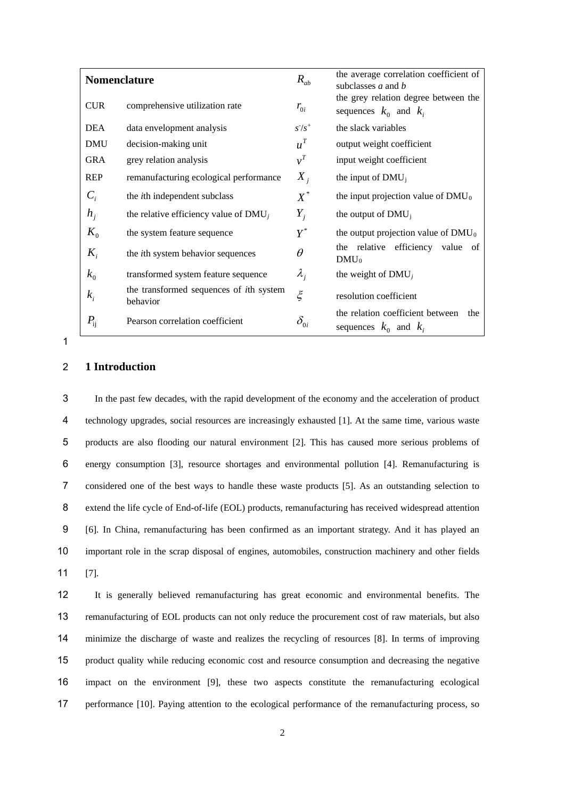|              | <b>Nomenclature</b>                                         | $R_{ab}$                         | the average correlation coefficient of<br>subclasses $a$ and $b$     |
|--------------|-------------------------------------------------------------|----------------------------------|----------------------------------------------------------------------|
| <b>CUR</b>   | comprehensive utilization rate                              | $r_{0i}$                         | the grey relation degree between the<br>sequences $k_0$ and $k_i$    |
| <b>DEA</b>   | data envelopment analysis                                   | $S/S^+$                          | the slack variables                                                  |
| <b>DMU</b>   | decision-making unit                                        | $u^T$                            | output weight coefficient                                            |
| <b>GRA</b>   | grey relation analysis                                      | $v^T$                            | input weight coefficient                                             |
| <b>REP</b>   | remanufacturing ecological performance                      | $X_i$                            | the input of $DMU_i$                                                 |
| $C_i$        | the <i>i</i> th independent subclass                        | $X^{*}$                          | the input projection value of $DMU_0$                                |
| $h_i$        | the relative efficiency value of $\text{DMU}_i$             | $Y_i$                            | the output of $DMU_i$                                                |
| $K_0$        | the system feature sequence                                 | $Y^*$                            | the output projection value of DMU <sub>0</sub>                      |
| $K_i$        | the <i>i</i> th system behavior sequences                   | $\theta$                         | the relative efficiency value of<br>$DMU_0$                          |
| $k_0$        | transformed system feature sequence                         | $\lambda_i$                      | the weight of $DMU_i$                                                |
| $k_i$        | the transformed sequences of <i>i</i> th system<br>behavior | ξ                                | resolution coefficient                                               |
| $P_{\rm ii}$ | Pearson correlation coefficient                             | $\delta_{\scriptscriptstyle 0i}$ | the relation coefficient between<br>the<br>sequences $k_0$ and $k_i$ |

1

## 2 **1 Introduction**

In the past few decades, with the rapid development of the economy and the acceleration of product technology upgrades, social resources are increasingly exhausted [1]. At the same time, various waste products are also flooding our natural environment [2]. This has caused more serious problems of energy consumption [3], resource shortages and environmental pollution [4]. Remanufacturing is considered one of the best ways to handle these waste products [5]. As an outstanding selection to extend the life cycle of End-of-life (EOL) products, remanufacturing has received widespread attention [6]. In China, remanufacturing has been confirmed as an important strategy. And it has played an important role in the scrap disposal of engines, automobiles, construction machinery and other fields 11 [7].

 It is generally believed remanufacturing has great economic and environmental benefits. The remanufacturing of EOL products can not only reduce the procurement cost of raw materials, but also minimize the discharge of waste and realizes the recycling of resources [8]. In terms of improving product quality while reducing economic cost and resource consumption and decreasing the negative impact on the environment [9], these two aspects constitute the remanufacturing ecological performance [10]. Paying attention to the ecological performance of the remanufacturing process, so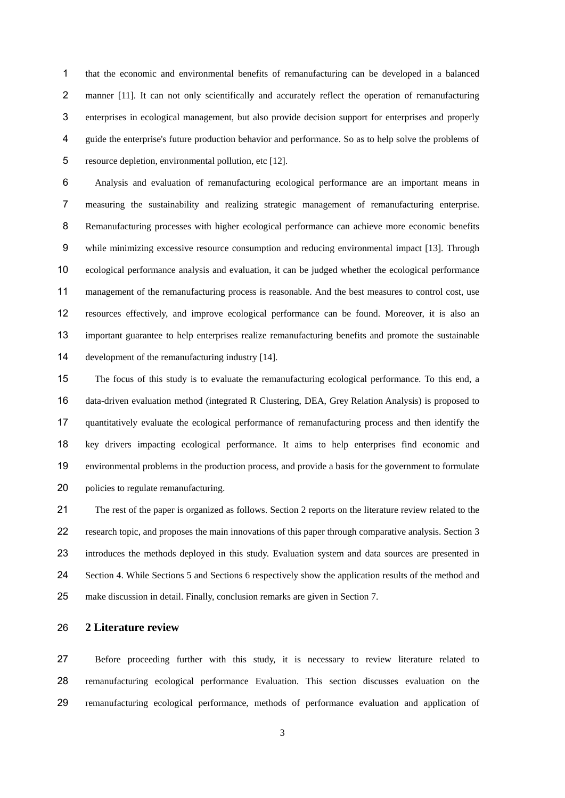that the economic and environmental benefits of remanufacturing can be developed in a balanced 2 manner [11]. It can not only scientifically and accurately reflect the operation of remanufacturing enterprises in ecological management, but also provide decision support for enterprises and properly guide the enterprise's future production behavior and performance. So as to help solve the problems of resource depletion, environmental pollution, etc [12].

Analysis and evaluation of remanufacturing ecological performance are an important means in measuring the sustainability and realizing strategic management of remanufacturing enterprise. Remanufacturing processes with higher ecological performance can achieve more economic benefits while minimizing excessive resource consumption and reducing environmental impact [13]. Through ecological performance analysis and evaluation, it can be judged whether the ecological performance management of the remanufacturing process is reasonable. And the best measures to control cost, use resources effectively, and improve ecological performance can be found. Moreover, it is also an important guarantee to help enterprises realize remanufacturing benefits and promote the sustainable development of the remanufacturing industry [14].

 The focus of this study is to evaluate the remanufacturing ecological performance. To this end, a data-driven evaluation method (integrated R Clustering, DEA, Grey Relation Analysis) is proposed to quantitatively evaluate the ecological performance of remanufacturing process and then identify the key drivers impacting ecological performance. It aims to help enterprises find economic and environmental problems in the production process, and provide a basis for the government to formulate 20 policies to regulate remanufacturing.

 The rest of the paper is organized as follows. Section 2 reports on the literature review related to the 22 research topic, and proposes the main innovations of this paper through comparative analysis. Section 3 introduces the methods deployed in this study. Evaluation system and data sources are presented in Section 4. While Sections 5 and Sections 6 respectively show the application results of the method and make discussion in detail. Finally, conclusion remarks are given in Section 7.

# **2 Literature review**

 Before proceeding further with this study, it is necessary to review literature related to remanufacturing ecological performance Evaluation. This section discusses evaluation on the remanufacturing ecological performance, methods of performance evaluation and application of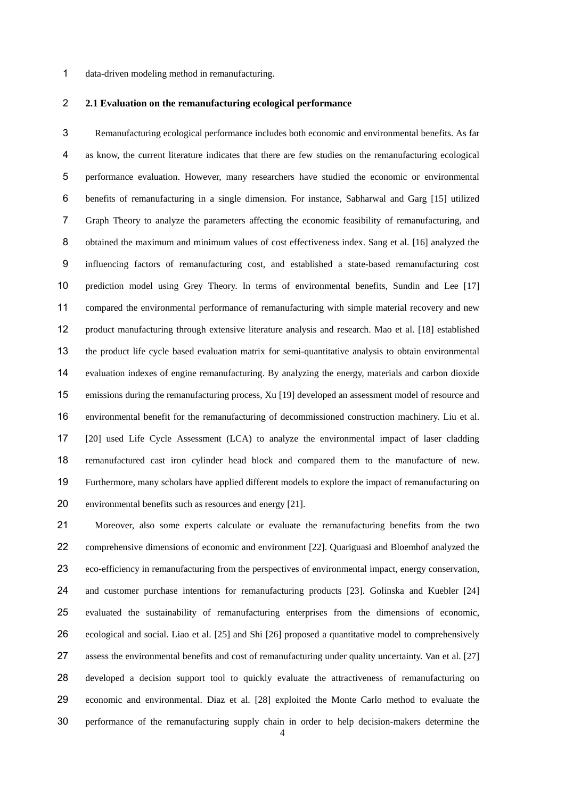data-driven modeling method in remanufacturing.

# **2.1 Evaluation on the remanufacturing ecological performance**

Remanufacturing ecological performance includes both economic and environmental benefits. As far as know, the current literature indicates that there are few studies on the remanufacturing ecological performance evaluation. However, many researchers have studied the economic or environmental benefits of remanufacturing in a single dimension. For instance, Sabharwal and Garg [15] utilized Graph Theory to analyze the parameters affecting the economic feasibility of remanufacturing, and obtained the maximum and minimum values of cost effectiveness index. Sang et al. [16] analyzed the influencing factors of remanufacturing cost, and established a state-based remanufacturing cost prediction model using Grey Theory. In terms of environmental benefits, Sundin and Lee [17] compared the environmental performance of remanufacturing with simple material recovery and new product manufacturing through extensive literature analysis and research. Mao et al. [18] established the product life cycle based evaluation matrix for semi-quantitative analysis to obtain environmental evaluation indexes of engine remanufacturing. By analyzing the energy, materials and carbon dioxide emissions during the remanufacturing process, Xu [19] developed an assessment model of resource and environmental benefit for the remanufacturing of decommissioned construction machinery. Liu et al. [20] used Life Cycle Assessment (LCA) to analyze the environmental impact of laser cladding remanufactured cast iron cylinder head block and compared them to the manufacture of new. Furthermore, many scholars have applied different models to explore the impact of remanufacturing on environmental benefits such as resources and energy [21].

 Moreover, also some experts calculate or evaluate the remanufacturing benefits from the two 22 comprehensive dimensions of economic and environment [22]. Quariguasi and Bloemhof analyzed the eco-efficiency in remanufacturing from the perspectives of environmental impact, energy conservation, and customer purchase intentions for remanufacturing products [23]. Golinska and Kuebler [24] evaluated the sustainability of remanufacturing enterprises from the dimensions of economic, ecological and social. Liao et al. [25] and Shi [26] proposed a quantitative model to comprehensively 27 assess the environmental benefits and cost of remanufacturing under quality uncertainty. Van et al. [27] developed a decision support tool to quickly evaluate the attractiveness of remanufacturing on economic and environmental. Diaz et al. [28] exploited the Monte Carlo method to evaluate the performance of the remanufacturing supply chain in order to help decision-makers determine the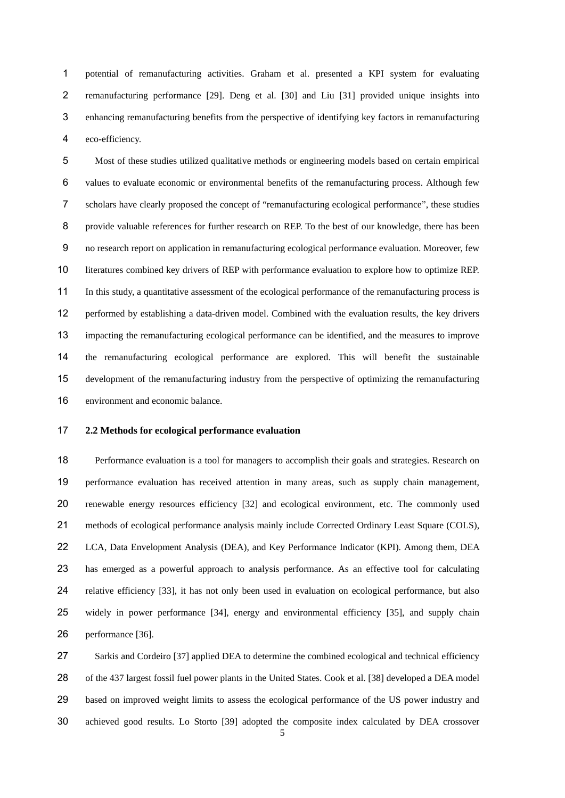potential of remanufacturing activities. Graham et al. presented a KPI system for evaluating remanufacturing performance [29]. Deng et al. [30] and Liu [31] provided unique insights into enhancing remanufacturing benefits from the perspective of identifying key factors in remanufacturing eco-efficiency.

Most of these studies utilized qualitative methods or engineering models based on certain empirical values to evaluate economic or environmental benefits of the remanufacturing process. Although few scholars have clearly proposed the concept of "remanufacturing ecological performance", these studies provide valuable references for further research on REP. To the best of our knowledge, there has been no research report on application in remanufacturing ecological performance evaluation. Moreover, few literatures combined key drivers of REP with performance evaluation to explore how to optimize REP. In this study, a quantitative assessment of the ecological performance of the remanufacturing process is performed by establishing a data-driven model. Combined with the evaluation results, the key drivers impacting the remanufacturing ecological performance can be identified, and the measures to improve the remanufacturing ecological performance are explored. This will benefit the sustainable development of the remanufacturing industry from the perspective of optimizing the remanufacturing environment and economic balance.

# **2.2 Methods for ecological performance evaluation**

 Performance evaluation is a tool for managers to accomplish their goals and strategies. Research on performance evaluation has received attention in many areas, such as supply chain management, renewable energy resources efficiency [32] and ecological environment, etc. The commonly used 21 methods of ecological performance analysis mainly include Corrected Ordinary Least Square (COLS), 22 LCA, Data Envelopment Analysis (DEA), and Key Performance Indicator (KPI). Among them, DEA has emerged as a powerful approach to analysis performance. As an effective tool for calculating relative efficiency [33], it has not only been used in evaluation on ecological performance, but also widely in power performance [34], energy and environmental efficiency [35], and supply chain performance [36].

 Sarkis and Cordeiro [37] applied DEA to determine the combined ecological and technical efficiency 28 of the 437 largest fossil fuel power plants in the United States. Cook et al. [38] developed a DEA model based on improved weight limits to assess the ecological performance of the US power industry and achieved good results. Lo Storto [39] adopted the composite index calculated by DEA crossover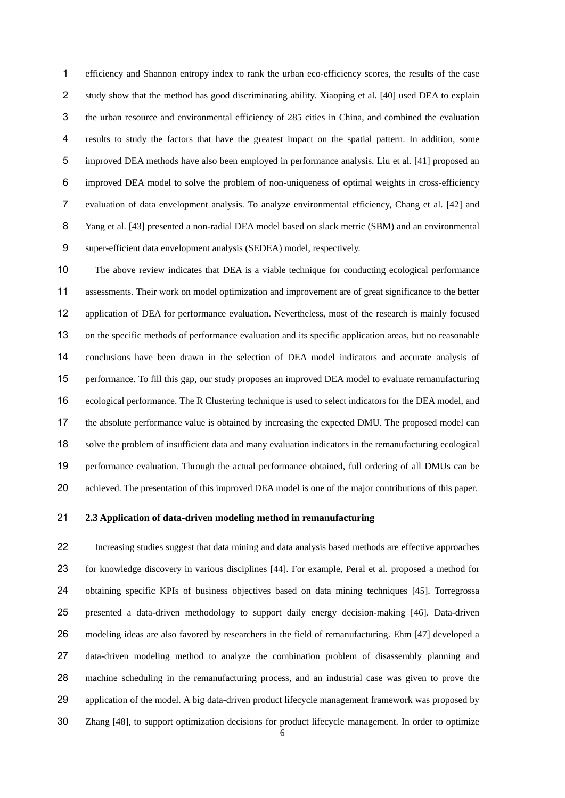efficiency and Shannon entropy index to rank the urban eco-efficiency scores, the results of the case study show that the method has good discriminating ability. Xiaoping et al. [40] used DEA to explain the urban resource and environmental efficiency of 285 cities in China, and combined the evaluation results to study the factors that have the greatest impact on the spatial pattern. In addition, some improved DEA methods have also been employed in performance analysis. Liu et al. [41] proposed an improved DEA model to solve the problem of non-uniqueness of optimal weights in cross-efficiency evaluation of data envelopment analysis. To analyze environmental efficiency, Chang et al. [42] and Yang et al. [43] presented a non-radial DEA model based on slack metric (SBM) and an environmental super-efficient data envelopment analysis (SEDEA) model, respectively.

 The above review indicates that DEA is a viable technique for conducting ecological performance assessments. Their work on model optimization and improvement are of great significance to the better application of DEA for performance evaluation. Nevertheless, most of the research is mainly focused on the specific methods of performance evaluation and its specific application areas, but no reasonable conclusions have been drawn in the selection of DEA model indicators and accurate analysis of performance. To fill this gap, our study proposes an improved DEA model to evaluate remanufacturing ecological performance. The R Clustering technique is used to select indicators for the DEA model, and the absolute performance value is obtained by increasing the expected DMU. The proposed model can solve the problem of insufficient data and many evaluation indicators in the remanufacturing ecological performance evaluation. Through the actual performance obtained, full ordering of all DMUs can be achieved. The presentation of this improved DEA model is one of the major contributions of this paper.

# **2.3 Application of data-driven modeling method in remanufacturing**

 Increasing studies suggest that data mining and data analysis based methods are effective approaches for knowledge discovery in various disciplines [44]. For example, Peral et al. proposed a method for obtaining specific KPIs of business objectives based on data mining techniques [45]. Torregrossa presented a data-driven methodology to support daily energy decision-making [46]. Data-driven modeling ideas are also favored by researchers in the field of remanufacturing. Ehm [47] developed a data-driven modeling method to analyze the combination problem of disassembly planning and machine scheduling in the remanufacturing process, and an industrial case was given to prove the application of the model. A big data-driven product lifecycle management framework was proposed by Zhang [48], to support optimization decisions for product lifecycle management. In order to optimize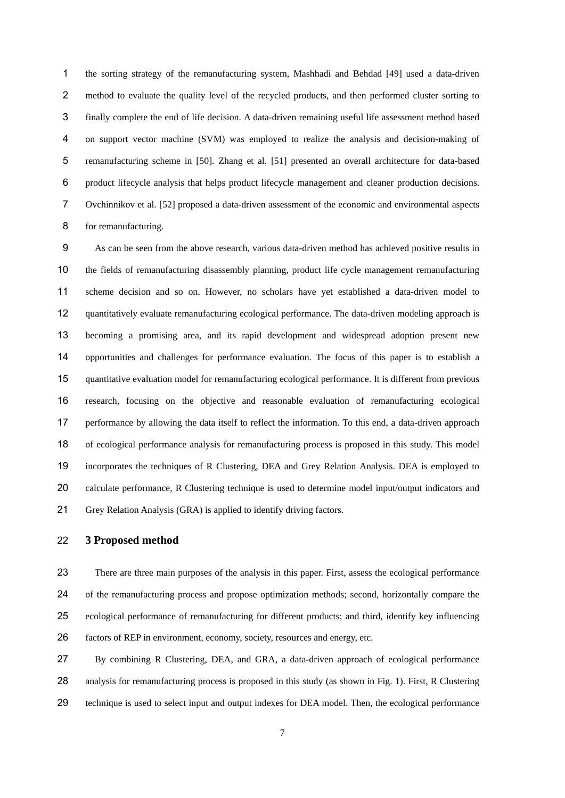the sorting strategy of the remanufacturing system, Mashhadi and Behdad [49] used a data-driven method to evaluate the quality level of the recycled products, and then performed cluster sorting to finally complete the end of life decision. A data-driven remaining useful life assessment method based on support vector machine (SVM) was employed to realize the analysis and decision-making of remanufacturing scheme in [50]. Zhang et al. [51] presented an overall architecture for data-based product lifecycle analysis that helps product lifecycle management and cleaner production decisions. Ovchinnikov et al. [52] proposed a data-driven assessment of the economic and environmental aspects for remanufacturing.

As can be seen from the above research, various data-driven method has achieved positive results in the fields of remanufacturing disassembly planning, product life cycle management remanufacturing scheme decision and so on. However, no scholars have yet established a data-driven model to quantitatively evaluate remanufacturing ecological performance. The data-driven modeling approach is becoming a promising area, and its rapid development and widespread adoption present new opportunities and challenges for performance evaluation. The focus of this paper is to establish a quantitative evaluation model for remanufacturing ecological performance. It is different from previous research, focusing on the objective and reasonable evaluation of remanufacturing ecological performance by allowing the data itself to reflect the information. To this end, a data-driven approach of ecological performance analysis for remanufacturing process is proposed in this study. This model incorporates the techniques of R Clustering, DEA and Grey Relation Analysis. DEA is employed to calculate performance, R Clustering technique is used to determine model input/output indicators and Grey Relation Analysis (GRA) is applied to identify driving factors.

## **3 Proposed method**

 There are three main purposes of the analysis in this paper. First, assess the ecological performance of the remanufacturing process and propose optimization methods; second, horizontally compare the ecological performance of remanufacturing for different products; and third, identify key influencing factors of REP in environment, economy, society, resources and energy, etc.

 By combining R Clustering, DEA, and GRA, a data-driven approach of ecological performance analysis for remanufacturing process is proposed in this study (as shown in Fig. 1). First, R Clustering technique is used to select input and output indexes for DEA model. Then, the ecological performance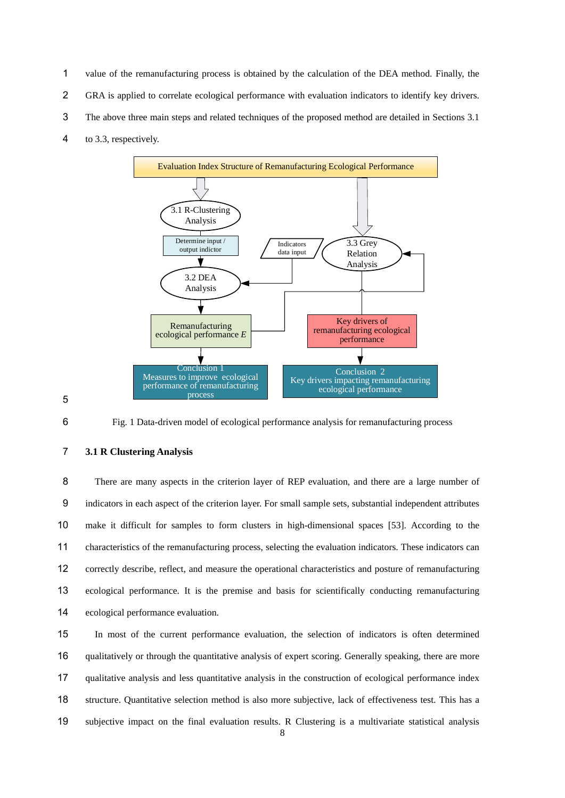value of the remanufacturing process is obtained by the calculation of the DEA method. Finally, the GRA is applied to correlate ecological performance with evaluation indicators to identify key drivers. The above three main steps and related techniques of the proposed method are detailed in Sections 3.1 to 3.3, respectively.





6 Fig. 1 Data-driven model of ecological performance analysis for remanufacturing process

# 7 **3.1 R Clustering Analysis**

There are many aspects in the criterion layer of REP evaluation, and there are a large number of indicators in each aspect of the criterion layer. For small sample sets, substantial independent attributes make it difficult for samples to form clusters in high-dimensional spaces [53]. According to the characteristics of the remanufacturing process, selecting the evaluation indicators. These indicators can correctly describe, reflect, and measure the operational characteristics and posture of remanufacturing ecological performance. It is the premise and basis for scientifically conducting remanufacturing ecological performance evaluation.

 In most of the current performance evaluation, the selection of indicators is often determined qualitatively or through the quantitative analysis of expert scoring. Generally speaking, there are more qualitative analysis and less quantitative analysis in the construction of ecological performance index structure. Quantitative selection method is also more subjective, lack of effectiveness test. This has a subjective impact on the final evaluation results. R Clustering is a multivariate statistical analysis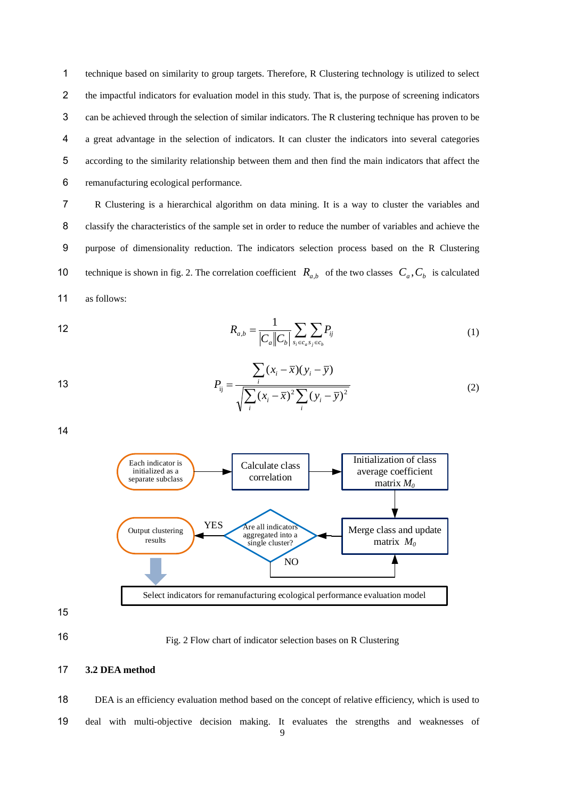technique based on similarity to group targets. Therefore, R Clustering technology is utilized to select 2 the impactful indicators for evaluation model in this study. That is, the purpose of screening indicators can be achieved through the selection of similar indicators. The R clustering technique has proven to be a great advantage in the selection of indicators. It can cluster the indicators into several categories according to the similarity relationship between them and then find the main indicators that affect the remanufacturing ecological performance.

7 R Clustering is a hierarchical algorithm on data mining. It is a way to cluster the variables and 8 classify the characteristics of the sample set in order to reduce the number of variables and achieve the 9 purpose of dimensionality reduction. The indicators selection process based on the R Clustering 10 technique is shown in fig. 2. The correlation coefficient  $R_{a,b}$  of the two classes  $C_a$ ,  $C_b$  is calculated 11 as follows:

12 
$$
R_{a,b} = \frac{1}{|C_a||C_b|} \sum_{s_i \in C_a} \sum_{s_j \in C_b} P_{ij}
$$
 (1)

13 
$$
P_{ij} = \frac{\sum_{i} (x_i - \overline{x})(y_i - \overline{y})}{\sqrt{\sum_{i} (x_i - \overline{x})^2 \sum_{i} (y_i - \overline{y})^2}}
$$
(2)

14



15

# Fig. 2 Flow chart of indicator selection bases on R Clustering <sup>16</sup>

# 17 **3.2 DEA method**

18 DEA is an efficiency evaluation method based on the concept of relative efficiency, which is used to 19 deal with multi-objective decision making. It evaluates the strengths and weaknesses of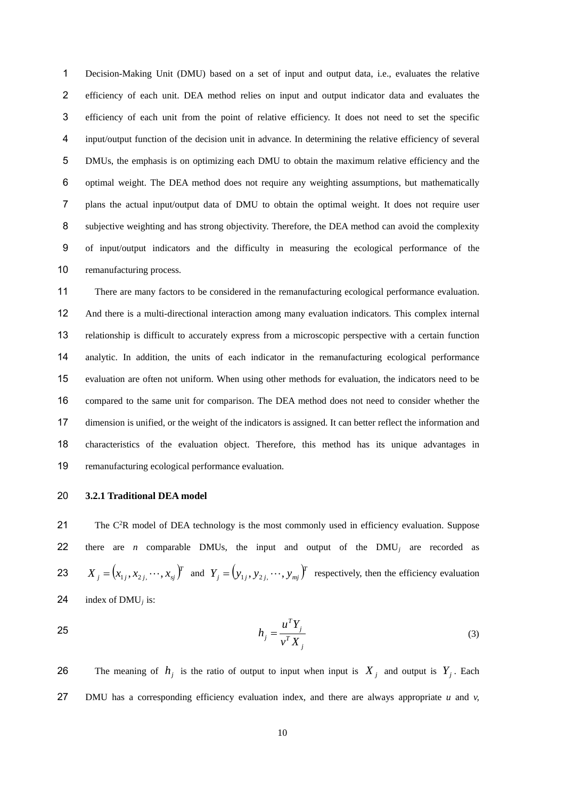Decision-Making Unit (DMU) based on a set of input and output data, i.e., evaluates the relative efficiency of each unit. DEA method relies on input and output indicator data and evaluates the efficiency of each unit from the point of relative efficiency. It does not need to set the specific input/output function of the decision unit in advance. In determining the relative efficiency of several DMUs, the emphasis is on optimizing each DMU to obtain the maximum relative efficiency and the optimal weight. The DEA method does not require any weighting assumptions, but mathematically plans the actual input/output data of DMU to obtain the optimal weight. It does not require user subjective weighting and has strong objectivity. Therefore, the DEA method can avoid the complexity of input/output indicators and the difficulty in measuring the ecological performance of the remanufacturing process.

 There are many factors to be considered in the remanufacturing ecological performance evaluation. And there is a multi-directional interaction among many evaluation indicators. This complex internal relationship is difficult to accurately express from a microscopic perspective with a certain function analytic. In addition, the units of each indicator in the remanufacturing ecological performance evaluation are often not uniform. When using other methods for evaluation, the indicators need to be compared to the same unit for comparison. The DEA method does not need to consider whether the dimension is unified, or the weight of the indicators is assigned. It can better reflect the information and characteristics of the evaluation object. Therefore, this method has its unique advantages in remanufacturing ecological performance evaluation.

# **3.2.1 Traditional DEA model**

21 The C<sup>2</sup>R model of DEA technology is the most commonly used in efficiency evaluation. Suppose there are *n* comparable DMUs, the input and output of the DMU*<sup>j</sup>* are recorded as  $X_j = (x_{1j}, x_{2j}, \dots, x_{sj})^T$  and  $Y_j = (y_{1j}, y_{2j}, \dots, y_{mj})^T$  respectively, then the efficiency evaluation index of DMU*<sup>j</sup>* is:

$$
h_j = \frac{u^T Y_j}{v^T X_j} \tag{3}
$$

26 The meaning of  $h_j$  is the ratio of output to input when input is  $X_j$  and output is  $Y_j$ . Each DMU has a corresponding efficiency evaluation index, and there are always appropriate *u* and *v,*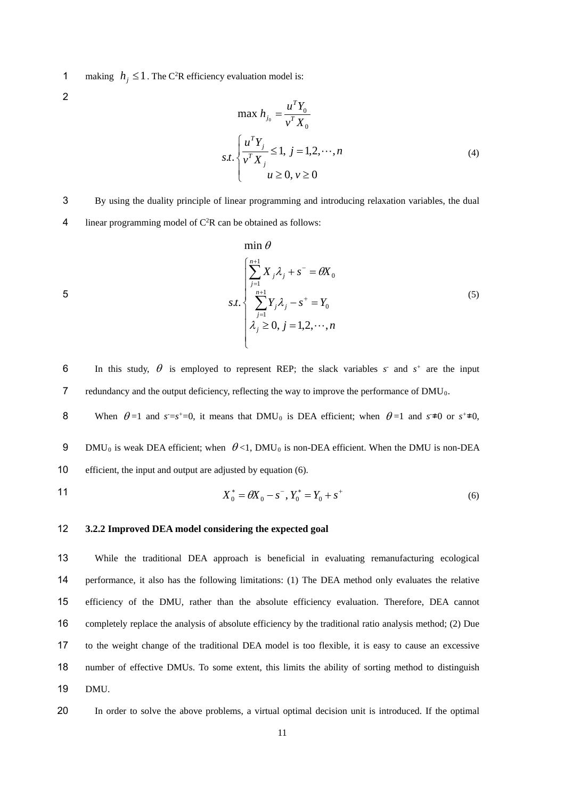1 making  $h_i \leq 1$ . The C<sup>2</sup>R efficiency evaluation model is:

2

$$
\max h_{j_0} = \frac{u^T Y_0}{v^T X_0}
$$
  
s.t. 
$$
\begin{cases} \frac{u^T Y_j}{v^T X_j} \le 1, \ j = 1, 2, \cdots, n \\ u \ge 0, \ v \ge 0 \end{cases}
$$
 (4)

3 By using the duality principle of linear programming and introducing relaxation variables, the dual 4 linear programming model of  $C^2R$  can be obtained as follows:

$$
\min \theta
$$
\n5\n5\n5\n5\n5\n
$$
s.t. \begin{cases} \sum_{j=1}^{n+1} X_j \lambda_j + s^- = \theta X_0 \\ \sum_{j=1}^{n+1} Y_j \lambda_j - s^+ = Y_0 \\ \lambda_j \ge 0, j = 1, 2, \dots, n \end{cases}
$$
\n(5)

6 In this study,  $\theta$  is employed to represent REP; the slack variables *s* and  $s^+$  are the input 7 redundancy and the output deficiency, reflecting the way to improve the performance of DMU<sub>0</sub>.

When  $\theta = 1$  and  $s = s^+ = 0$ , it means that DMU<sub>0</sub> is DEA efficient; when  $\theta = 1$  and  $s = 0$  or  $s^+ = 0$ , 9 DMU<sub>0</sub> is weak DEA efficient; when  $\theta$ <1, DMU<sub>0</sub> is non-DEA efficient. When the DMU is non-DEA

10 efficient, the input and output are adjusted by equation (6).

$$
11
$$

11 
$$
X_0^* = \theta X_0 - s^-, Y_0^* = Y_0 + s^+
$$
 (6)

# 12 **3.2.2 Improved DEA model considering the expected goal**

 While the traditional DEA approach is beneficial in evaluating remanufacturing ecological performance, it also has the following limitations: (1) The DEA method only evaluates the relative efficiency of the DMU, rather than the absolute efficiency evaluation. Therefore, DEA cannot completely replace the analysis of absolute efficiency by the traditional ratio analysis method; (2) Due to the weight change of the traditional DEA model is too flexible, it is easy to cause an excessive number of effective DMUs. To some extent, this limits the ability of sorting method to distinguish 19 DMU.

20 In order to solve the above problems, a virtual optimal decision unit is introduced. If the optimal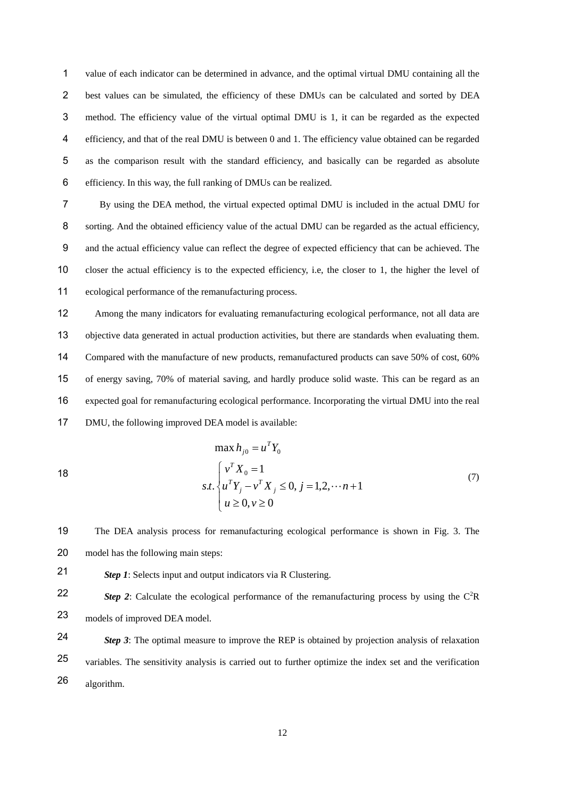value of each indicator can be determined in advance, and the optimal virtual DMU containing all the best values can be simulated, the efficiency of these DMUs can be calculated and sorted by DEA method. The efficiency value of the virtual optimal DMU is 1, it can be regarded as the expected efficiency, and that of the real DMU is between 0 and 1. The efficiency value obtained can be regarded as the comparison result with the standard efficiency, and basically can be regarded as absolute efficiency. In this way, the full ranking of DMUs can be realized.

By using the DEA method, the virtual expected optimal DMU is included in the actual DMU for sorting. And the obtained efficiency value of the actual DMU can be regarded as the actual efficiency, and the actual efficiency value can reflect the degree of expected efficiency that can be achieved. The closer the actual efficiency is to the expected efficiency, i.e, the closer to 1, the higher the level of ecological performance of the remanufacturing process.

 Among the many indicators for evaluating remanufacturing ecological performance, not all data are objective data generated in actual production activities, but there are standards when evaluating them. Compared with the manufacture of new products, remanufactured products can save 50% of cost, 60% of energy saving, 70% of material saving, and hardly produce solid waste. This can be regard as an expected goal for remanufacturing ecological performance. Incorporating the virtual DMU into the real DMU, the following improved DEA model is available:

$$
\max h_{j0} = u^T Y_0
$$
  
18  

$$
s.t. \begin{cases} v^T X_0 = 1 \\ u^T Y_j - v^T X_j \le 0, j = 1, 2, \dots n + 1 \\ u \ge 0, v \ge 0 \end{cases}
$$
 (7)

19 The DEA analysis process for remanufacturing ecological performance is shown in Fig. 3. The 20 model has the following main steps:

*Step 1*: Selects input and output indicators via R Clustering. <sup>21</sup>

*Step 2*: Calculate the ecological performance of the remanufacturing process by using the  $C^2R$ 23 models of improved DEA model.

*Step 3*: The optimal measure to improve the REP is obtained by projection analysis of relaxation 25 variables. The sensitivity analysis is carried out to further optimize the index set and the verification algorithm. <sup>26</sup>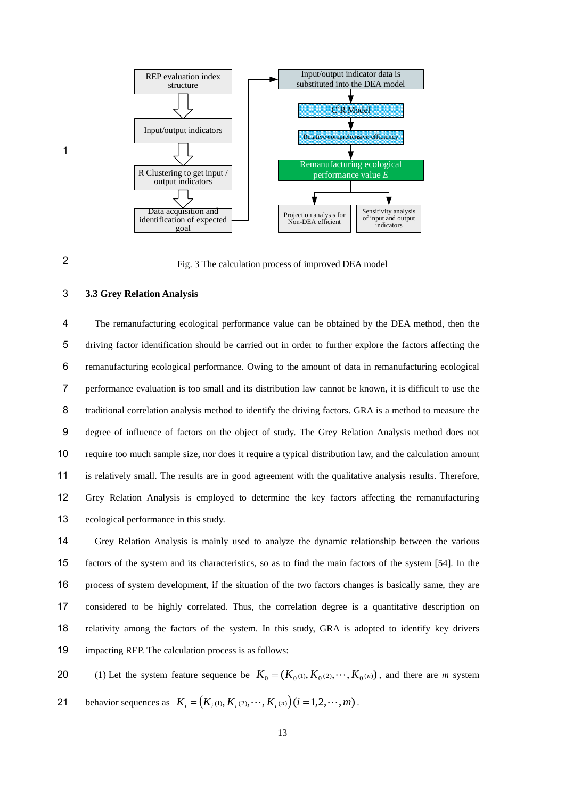

Fig. 3 The calculation process of improved DEA model <sup>2</sup>

#### 3 **3.3 Grey Relation Analysis**

1

The remanufacturing ecological performance value can be obtained by the DEA method, then the driving factor identification should be carried out in order to further explore the factors affecting the remanufacturing ecological performance. Owing to the amount of data in remanufacturing ecological performance evaluation is too small and its distribution law cannot be known, it is difficult to use the traditional correlation analysis method to identify the driving factors. GRA is a method to measure the degree of influence of factors on the object of study. The Grey Relation Analysis method does not require too much sample size, nor does it require a typical distribution law, and the calculation amount is relatively small. The results are in good agreement with the qualitative analysis results. Therefore, Grey Relation Analysis is employed to determine the key factors affecting the remanufacturing ecological performance in this study.

 Grey Relation Analysis is mainly used to analyze the dynamic relationship between the various factors of the system and its characteristics, so as to find the main factors of the system [54]. In the process of system development, if the situation of the two factors changes is basically same, they are considered to be highly correlated. Thus, the correlation degree is a quantitative description on relativity among the factors of the system. In this study, GRA is adopted to identify key drivers impacting REP. The calculation process is as follows:

20 (1) Let the system feature sequence be  $K_0 = (K_0(1), K_0(2), \dots, K_0(n))$ , and there are *m* system 21 behavior sequences as  $K_i = (K_{i^{(1)}}, K_{i^{(2)}}, \cdots, K_{i^{(n)}})$  (*i* = 1,2,  $\cdots$ *, m*).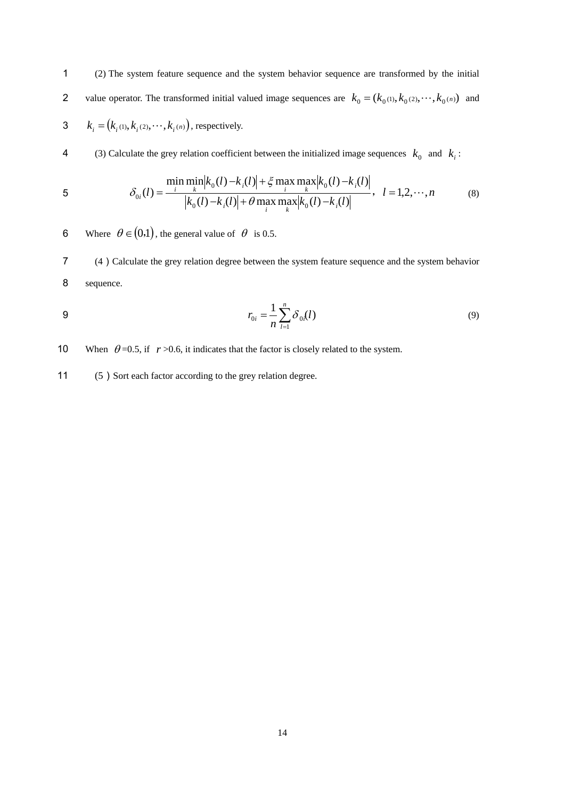1 (2) The system feature sequence and the system behavior sequence are transformed by the initial 2 value operator. The transformed initial valued image sequences are  $k_0 = (k_0, a_0, k_0, a_1, \dots, k_0, a_n)$  and 3  $k_i = (k_{i^{(1)}}, k_{i^{(2)}}, \cdots, k_{i^{(n)}})$ , respectively.

4 (3) Calculate the grey relation coefficient between the initialized image sequences  $k_0$  and  $k_i$ :

5 
$$
\delta_{0i}(l) = \frac{\min_{i} \min_{k} |k_0(l) - k_i(l)| + \xi \max_{i} \max_{k} |k_0(l) - k_i(l)|}{|k_0(l) - k_i(l)| + \theta \max_{i} \max_{k} |k_0(l) - k_i(l)|}, \quad l = 1, 2, \cdots, n
$$
(8)

6 Where  $\theta \in (0,1)$ , the general value of  $\theta$  is 0.5.

7 (4)Calculate the grey relation degree between the system feature sequence and the system behavior 8 sequence.

9 
$$
r_{0i} = \frac{1}{n} \sum_{l=1}^{n} \delta_{0i}(l)
$$
 (9)

10 When  $\theta = 0.5$ , if  $r > 0.6$ , it indicates that the factor is closely related to the system.

11 (5) Sort each factor according to the grey relation degree.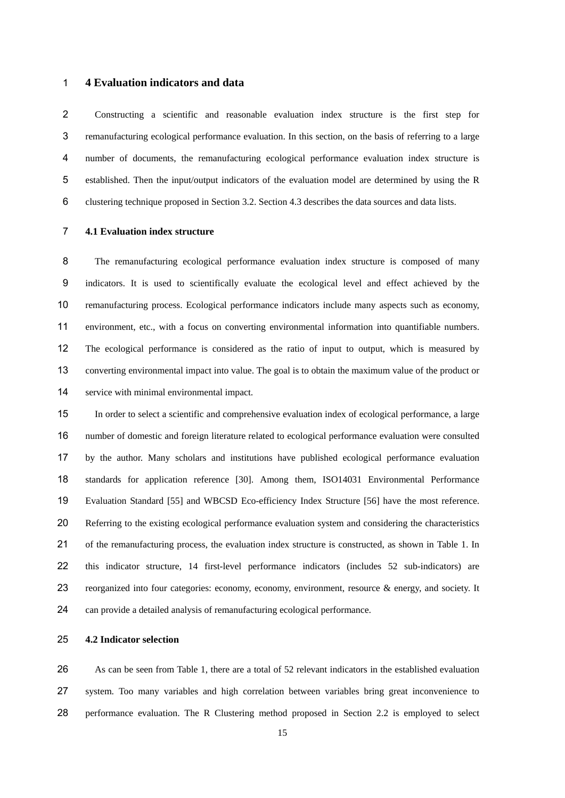## **4 Evaluation indicators and data**

Constructing a scientific and reasonable evaluation index structure is the first step for remanufacturing ecological performance evaluation. In this section, on the basis of referring to a large number of documents, the remanufacturing ecological performance evaluation index structure is established. Then the input/output indicators of the evaluation model are determined by using the R clustering technique proposed in Section 3.2. Section 4.3 describes the data sources and data lists.

**4.1 Evaluation index structure**

The remanufacturing ecological performance evaluation index structure is composed of many indicators. It is used to scientifically evaluate the ecological level and effect achieved by the remanufacturing process. Ecological performance indicators include many aspects such as economy, environment, etc., with a focus on converting environmental information into quantifiable numbers. The ecological performance is considered as the ratio of input to output, which is measured by converting environmental impact into value. The goal is to obtain the maximum value of the product or service with minimal environmental impact.

 In order to select a scientific and comprehensive evaluation index of ecological performance, a large number of domestic and foreign literature related to ecological performance evaluation were consulted by the author. Many scholars and institutions have published ecological performance evaluation standards for application reference [30]. Among them, ISO14031 Environmental Performance Evaluation Standard [55] and WBCSD Eco-efficiency Index Structure [56] have the most reference. Referring to the existing ecological performance evaluation system and considering the characteristics of the remanufacturing process, the evaluation index structure is constructed, as shown in Table 1. In this indicator structure, 14 first-level performance indicators (includes 52 sub-indicators) are 23 reorganized into four categories: economy, economy, environment, resource & energy, and society. It can provide a detailed analysis of remanufacturing ecological performance.

# **4.2 Indicator selection**

 As can be seen from Table 1, there are a total of 52 relevant indicators in the established evaluation system. Too many variables and high correlation between variables bring great inconvenience to performance evaluation. The R Clustering method proposed in Section 2.2 is employed to select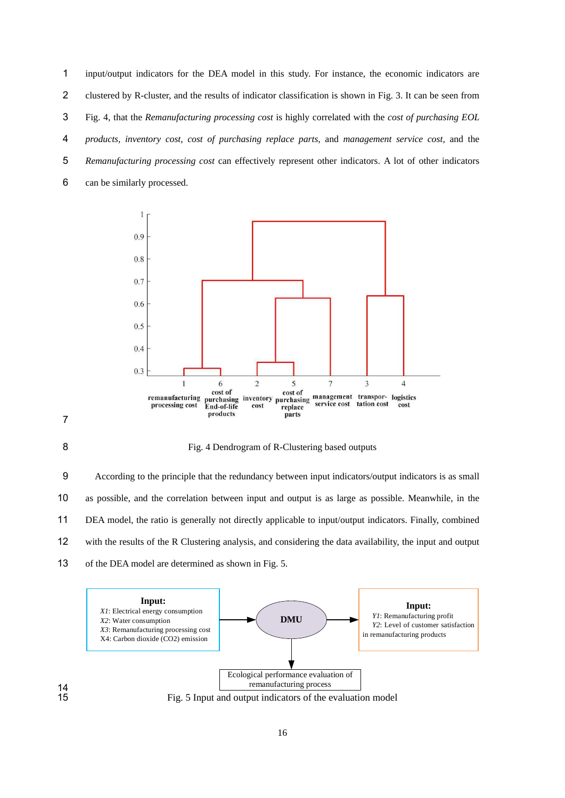input/output indicators for the DEA model in this study. For instance, the economic indicators are clustered by R-cluster, and the results of indicator classification is shown in Fig. 3. It can be seen from Fig. 4, that the *Remanufacturing processing cost* is highly correlated with the *cost of purchasing EOL products*, *inventory cost*, *cost of purchasing replace parts*, and *management service cost*, and the *Remanufacturing processing cost* can effectively represent other indicators. A lot of other indicators can be similarly processed.



7

8 Fig. 4 Dendrogram of R-Clustering based outputs

According to the principle that the redundancy between input indicators/output indicators is as small as possible, and the correlation between input and output is as large as possible. Meanwhile, in the DEA model, the ratio is generally not directly applicable to input/output indicators. Finally, combined with the results of the R Clustering analysis, and considering the data availability, the input and output of the DEA model are determined as shown in Fig. 5.

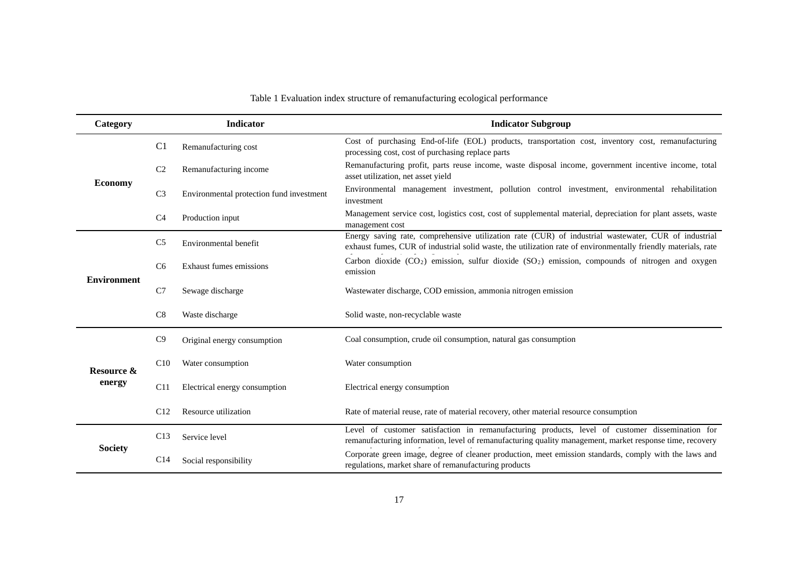| Category           |                          | <b>Indicator</b>                         | <b>Indicator Subgroup</b>                                                                                                                                                                                              |  |  |  |  |
|--------------------|--------------------------|------------------------------------------|------------------------------------------------------------------------------------------------------------------------------------------------------------------------------------------------------------------------|--|--|--|--|
|                    | C <sub>1</sub>           | Remanufacturing cost                     | Cost of purchasing End-of-life (EOL) products, transportation cost, inventory cost, remanufacturing<br>processing cost, cost of purchasing replace parts                                                               |  |  |  |  |
|                    | C <sub>2</sub>           | Remanufacturing income                   | Remanufacturing profit, parts reuse income, waste disposal income, government incentive income, total<br>asset utilization, net asset yield                                                                            |  |  |  |  |
| <b>Economy</b>     | C <sub>3</sub>           | Environmental protection fund investment | Environmental management investment, pollution control investment, environmental rehabilitation<br>investment                                                                                                          |  |  |  |  |
|                    | C <sub>4</sub>           | Production input                         | Management service cost, logistics cost, cost of supplemental material, depreciation for plant assets, waste<br>management cost                                                                                        |  |  |  |  |
|                    | C <sub>5</sub>           | Environmental benefit                    | Energy saving rate, comprehensive utilization rate (CUR) of industrial wastewater, CUR of industrial<br>exhaust fumes, CUR of industrial solid waste, the utilization rate of environmentally friendly materials, rate |  |  |  |  |
|                    | C <sub>6</sub>           | Exhaust fumes emissions                  | Carbon dioxide $(CO2)$ emission, sulfur dioxide $(SO2)$ emission, compounds of nitrogen and oxygen<br>emission                                                                                                         |  |  |  |  |
| <b>Environment</b> | C7<br>Sewage discharge   |                                          | Wastewater discharge, COD emission, ammonia nitrogen emission                                                                                                                                                          |  |  |  |  |
|                    | C8                       | Waste discharge                          | Solid waste, non-recyclable waste                                                                                                                                                                                      |  |  |  |  |
|                    | C9                       | Original energy consumption              | Coal consumption, crude oil consumption, natural gas consumption                                                                                                                                                       |  |  |  |  |
| Resource &         | C10<br>Water consumption |                                          | Water consumption                                                                                                                                                                                                      |  |  |  |  |
| energy             | C11                      | Electrical energy consumption            | Electrical energy consumption                                                                                                                                                                                          |  |  |  |  |
|                    | C12                      | Resource utilization                     | Rate of material reuse, rate of material recovery, other material resource consumption                                                                                                                                 |  |  |  |  |
|                    | C13                      | Service level                            | Level of customer satisfaction in remanufacturing products, level of customer dissemination for<br>remanufacturing information, level of remanufacturing quality management, market response time, recovery            |  |  |  |  |
| Society            | C <sub>14</sub>          | Social responsibility                    | Corporate green image, degree of cleaner production, meet emission standards, comply with the laws and<br>regulations, market share of remanufacturing products                                                        |  |  |  |  |

Table 1 Evaluation index structure of remanufacturing ecological performance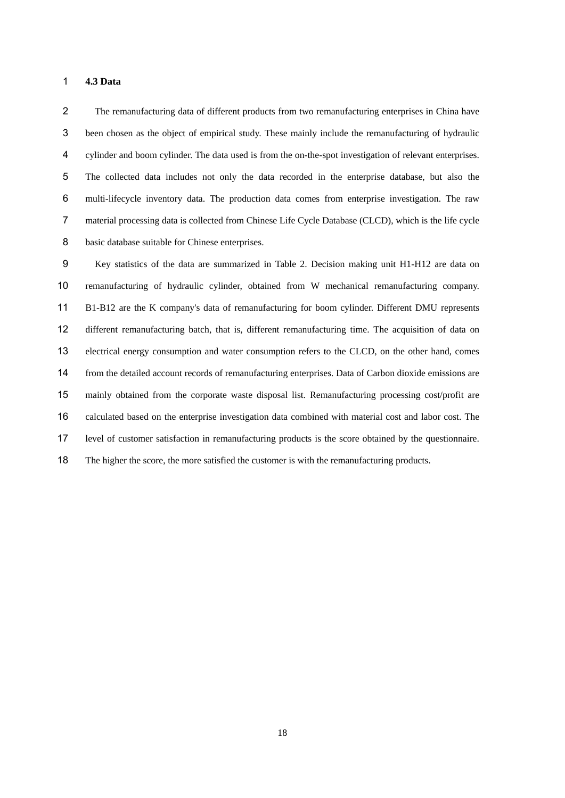# **4.3 Data**

The remanufacturing data of different products from two remanufacturing enterprises in China have been chosen as the object of empirical study. These mainly include the remanufacturing of hydraulic cylinder and boom cylinder. The data used is from the on-the-spot investigation of relevant enterprises. The collected data includes not only the data recorded in the enterprise database, but also the multi-lifecycle inventory data. The production data comes from enterprise investigation. The raw material processing data is collected from Chinese Life Cycle Database (CLCD), which is the life cycle basic database suitable for Chinese enterprises.

Key statistics of the data are summarized in Table 2. Decision making unit H1-H12 are data on remanufacturing of hydraulic cylinder, obtained from W mechanical remanufacturing company. B1-B12 are the K company's data of remanufacturing for boom cylinder. Different DMU represents different remanufacturing batch, that is, different remanufacturing time. The acquisition of data on electrical energy consumption and water consumption refers to the CLCD, on the other hand, comes from the detailed account records of remanufacturing enterprises. Data of Carbon dioxide emissions are mainly obtained from the corporate waste disposal list. Remanufacturing processing cost/profit are calculated based on the enterprise investigation data combined with material cost and labor cost. The level of customer satisfaction in remanufacturing products is the score obtained by the questionnaire. The higher the score, the more satisfied the customer is with the remanufacturing products.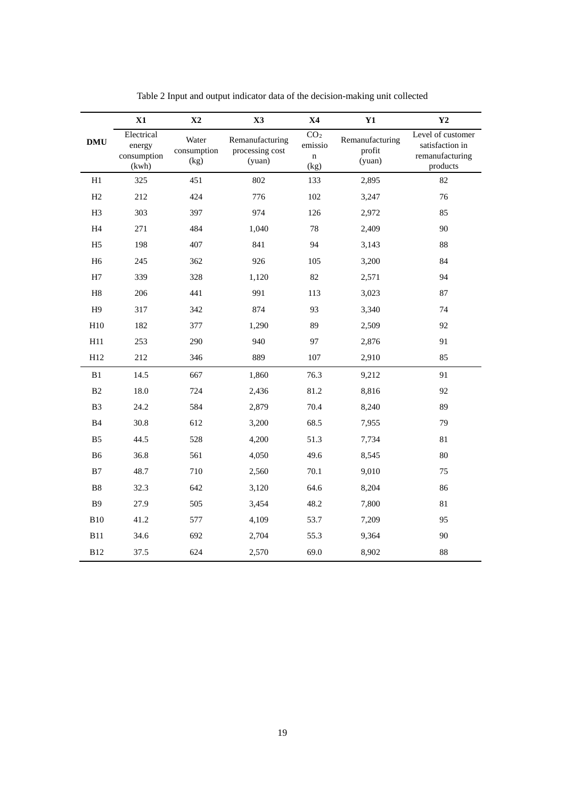|                | $\mathbf{X}1$                                | $\mathbf{X2}$                | $\mathbf{X}3$                                | <b>X4</b>                                         | $\mathbf{Y1}$                       | $\mathbf{Y2}$                                                       |
|----------------|----------------------------------------------|------------------------------|----------------------------------------------|---------------------------------------------------|-------------------------------------|---------------------------------------------------------------------|
| $\mathbf{DMU}$ | Electrical<br>energy<br>consumption<br>(kwh) | Water<br>consumption<br>(kg) | Remanufacturing<br>processing cost<br>(yuan) | CO <sub>2</sub><br>emissio<br>$\mathbf n$<br>(kg) | Remanufacturing<br>profit<br>(yuan) | Level of customer<br>satisfaction in<br>remanufacturing<br>products |
| H1             | 325                                          | 451                          | 802                                          | 133                                               | 2,895                               | 82                                                                  |
| H2             | 212                                          | 424                          | 776                                          | 102                                               | 3,247                               | 76                                                                  |
| H <sub>3</sub> | 303                                          | 397                          | 974                                          | 126                                               | 2,972                               | 85                                                                  |
| H <sub>4</sub> | 271                                          | 484                          | 1,040                                        | 78                                                | 2,409                               | 90                                                                  |
| H <sub>5</sub> | 198                                          | 407                          | 841                                          | 94                                                | 3,143                               | 88                                                                  |
| H <sub>6</sub> | 245                                          | 362                          | 926                                          | 105                                               | 3,200                               | 84                                                                  |
| H7             | 339                                          | 328                          | 1,120                                        | 82                                                | 2,571                               | 94                                                                  |
| H8             | 206                                          | 441                          | 991                                          | 113                                               | 3,023                               | 87                                                                  |
| H9             | 317                                          | 342                          | 874                                          | 93                                                | 3,340                               | 74                                                                  |
| H10            | 182                                          | 377                          | 1,290                                        | 89                                                | 2,509                               | 92                                                                  |
| H11            | 253                                          | 290                          | 940                                          | 97                                                | 2,876                               | 91                                                                  |
| H12            | 212                                          | 346                          | 889                                          | 107                                               | 2,910                               | 85                                                                  |
| B1             | 14.5                                         | 667                          | 1,860                                        | 76.3                                              | 9,212                               | 91                                                                  |
| B2             | 18.0                                         | 724                          | 2,436                                        | 81.2                                              | 8,816                               | 92                                                                  |
| B <sub>3</sub> | 24.2                                         | 584                          | 2,879                                        | 70.4                                              | 8,240                               | 89                                                                  |
| B4             | 30.8                                         | 612                          | 3,200                                        | 68.5                                              | 7,955                               | 79                                                                  |
| B <sub>5</sub> | 44.5                                         | 528                          | 4,200                                        | 51.3                                              | 7,734                               | 81                                                                  |
| B <sub>6</sub> | 36.8                                         | 561                          | 4,050                                        | 49.6                                              | 8,545                               | $80\,$                                                              |
| B7             | 48.7                                         | 710                          | 2,560                                        | 70.1                                              | 9,010                               | 75                                                                  |
| B8             | 32.3                                         | 642                          | 3,120                                        | 64.6                                              | 8,204                               | 86                                                                  |
| <b>B</b> 9     | 27.9                                         | 505                          | 3,454                                        | 48.2                                              | 7,800                               | $81\,$                                                              |
| <b>B10</b>     | 41.2                                         | 577                          | 4,109                                        | 53.7                                              | 7,209                               | 95                                                                  |
| B11            | 34.6                                         | 692                          | 2,704                                        | 55.3                                              | 9,364                               | 90                                                                  |
| <b>B12</b>     | 37.5                                         | 624                          | 2,570                                        | 69.0                                              | 8,902                               | 88                                                                  |

Table 2 Input and output indicator data of the decision-making unit collected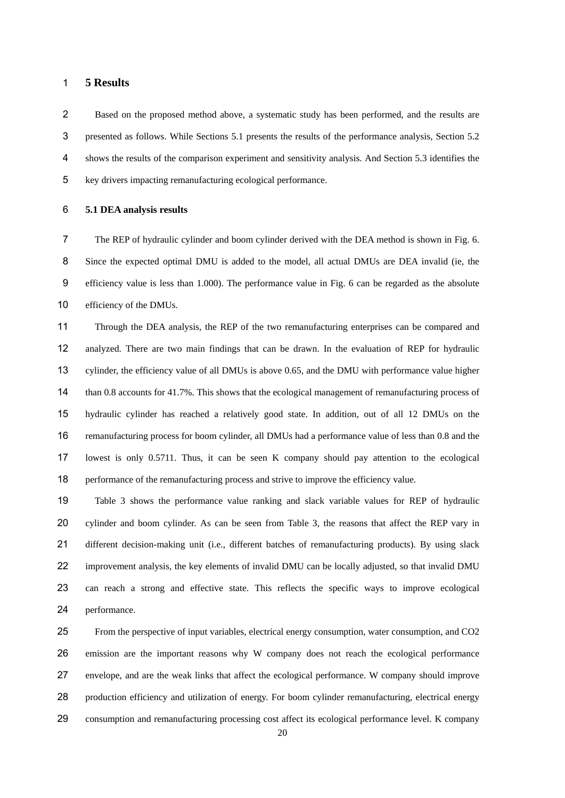# **5 Results**

Based on the proposed method above, a systematic study has been performed, and the results are presented as follows. While Sections 5.1 presents the results of the performance analysis, Section 5.2 shows the results of the comparison experiment and sensitivity analysis. And Section 5.3 identifies the key drivers impacting remanufacturing ecological performance.

#### **5.1 DEA analysis results**

The REP of hydraulic cylinder and boom cylinder derived with the DEA method is shown in Fig. 6. Since the expected optimal DMU is added to the model, all actual DMUs are DEA invalid (ie, the efficiency value is less than 1.000). The performance value in Fig. 6 can be regarded as the absolute efficiency of the DMUs.

 Through the DEA analysis, the REP of the two remanufacturing enterprises can be compared and analyzed. There are two main findings that can be drawn. In the evaluation of REP for hydraulic cylinder, the efficiency value of all DMUs is above 0.65, and the DMU with performance value higher than 0.8 accounts for 41.7%. This shows that the ecological management of remanufacturing process of hydraulic cylinder has reached a relatively good state. In addition, out of all 12 DMUs on the remanufacturing process for boom cylinder, all DMUs had a performance value of less than 0.8 and the lowest is only 0.5711. Thus, it can be seen K company should pay attention to the ecological performance of the remanufacturing process and strive to improve the efficiency value.

 Table 3 shows the performance value ranking and slack variable values for REP of hydraulic cylinder and boom cylinder. As can be seen from Table 3, the reasons that affect the REP vary in different decision-making unit (i.e., different batches of remanufacturing products). By using slack 22 improvement analysis, the key elements of invalid DMU can be locally adjusted, so that invalid DMU can reach a strong and effective state. This reflects the specific ways to improve ecological performance.

 From the perspective of input variables, electrical energy consumption, water consumption, and CO2 emission are the important reasons why W company does not reach the ecological performance envelope, and are the weak links that affect the ecological performance. W company should improve production efficiency and utilization of energy. For boom cylinder remanufacturing, electrical energy consumption and remanufacturing processing cost affect its ecological performance level. K company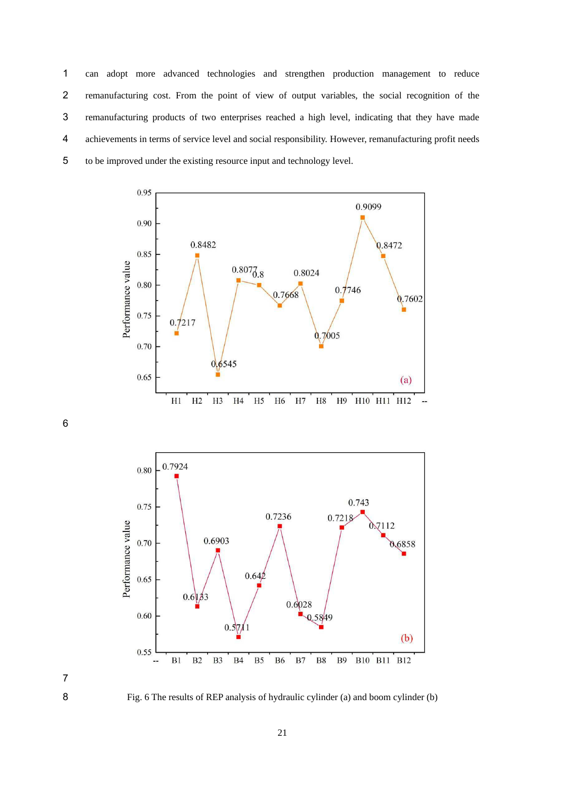can adopt more advanced technologies and strengthen production management to reduce remanufacturing cost. From the point of view of output variables, the social recognition of the remanufacturing products of two enterprises reached a high level, indicating that they have made achievements in terms of service level and social responsibility. However, remanufacturing profit needs to be improved under the existing resource input and technology level.





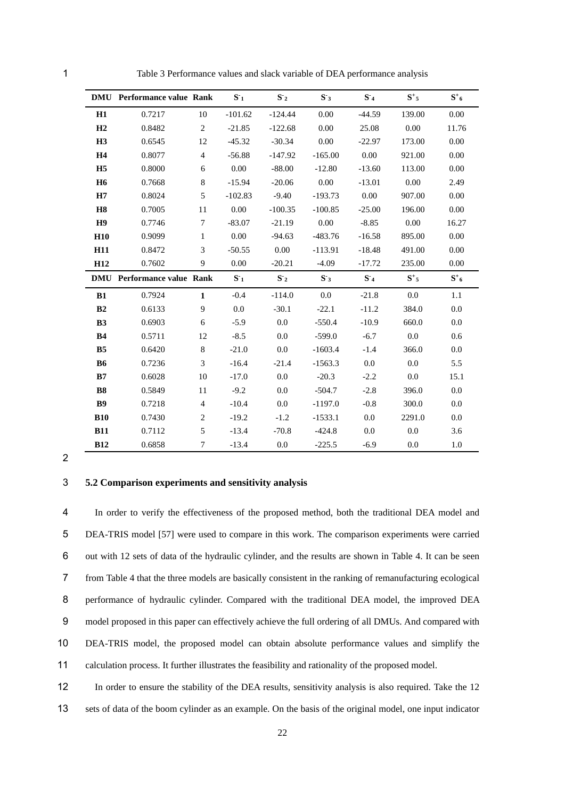1 Table 3 Performance values and slack variable of DEA performance analysis

|                 | <b>DMU</b> Performance value Rank |                | $S_1$     | $S_2$          | $S_{3}$   | S <sub>4</sub> | $S^+$ 5  | $S^{\dagger}$ 6 |
|-----------------|-----------------------------------|----------------|-----------|----------------|-----------|----------------|----------|-----------------|
| H1              | 0.7217                            | 10             | $-101.62$ | $-124.44$      | 0.00      | $-44.59$       | 139.00   | 0.00            |
| H2              | 0.8482                            | $\overline{2}$ | $-21.85$  | $-122.68$      | 0.00      | 25.08          | 0.00     | 11.76           |
| H <sub>3</sub>  | 0.6545                            | 12             | $-45.32$  | $-30.34$       | 0.00      | $-22.97$       | 173.00   | 0.00            |
| <b>H4</b>       | 0.8077                            | $\overline{4}$ | $-56.88$  | $-147.92$      | $-165.00$ | 0.00           | 921.00   | 0.00            |
| H <sub>5</sub>  | 0.8000                            | 6              | $0.00\,$  | $-88.00$       | $-12.80$  | $-13.60$       | 113.00   | $0.00\,$        |
| <b>H6</b>       | 0.7668                            | 8              | $-15.94$  | $-20.06$       | $0.00\,$  | $-13.01$       | $0.00\,$ | 2.49            |
| H7              | 0.8024                            | 5              | $-102.83$ | $-9.40$        | $-193.73$ | $0.00\,$       | 907.00   | 0.00            |
| H <sub>8</sub>  | 0.7005                            | 11             | 0.00      | $-100.35$      | $-100.85$ | $-25.00$       | 196.00   | 0.00            |
| H9              | 0.7746                            | $\tau$         | $-83.07$  | $-21.19$       | 0.00      | $-8.85$        | 0.00     | 16.27           |
| H <sub>10</sub> | 0.9099                            | $\mathbf{1}$   | 0.00      | $-94.63$       | $-483.76$ | $-16.58$       | 895.00   | 0.00            |
| H <sub>11</sub> | 0.8472                            | 3              | $-50.55$  | $0.00\,$       | $-113.91$ | $-18.48$       | 491.00   | 0.00            |
| H <sub>12</sub> | 0.7602                            | 9              | 0.00      | $-20.21$       | $-4.09$   | $-17.72$       | 235.00   | 0.00            |
|                 |                                   |                |           |                |           |                |          |                 |
|                 | <b>DMU</b> Performance value Rank |                | $S_1$     | S <sub>2</sub> | $S_{3}$   | S <sub>4</sub> | $S^+$ 5  | $S^+$ 6         |
| B1              | 0.7924                            | $\mathbf{1}$   | $-0.4$    | $-114.0$       | $0.0\,$   | $-21.8$        | 0.0      | 1.1             |
| B2              | 0.6133                            | $\overline{9}$ | $0.0\,$   | $-30.1$        | $-22.1$   | $-11.2$        | 384.0    | $0.0\,$         |
| B <sub>3</sub>  | 0.6903                            | 6              | $-5.9$    | 0.0            | $-550.4$  | $-10.9$        | 660.0    | 0.0             |
| <b>B4</b>       | 0.5711                            | 12             | $-8.5$    | 0.0            | $-599.0$  | $-6.7$         | 0.0      | 0.6             |
| B <sub>5</sub>  | 0.6420                            | 8              | $-21.0$   | 0.0            | $-1603.4$ | $-1.4$         | 366.0    | 0.0             |
| <b>B6</b>       | 0.7236                            | 3              | $-16.4$   | $-21.4$        | $-1563.3$ | $0.0\,$        | 0.0      | 5.5             |
| B7              | 0.6028                            | 10             | $-17.0$   | 0.0            | $-20.3$   | $-2.2$         | 0.0      | 15.1            |
| <b>B8</b>       | 0.5849                            | 11             | $-9.2$    | 0.0            | $-504.7$  | $-2.8$         | 396.0    | 0.0             |
| <b>B9</b>       | 0.7218                            | $\overline{4}$ | $-10.4$   | 0.0            | $-1197.0$ | $-0.8$         | 300.0    | $0.0\,$         |
| <b>B10</b>      | 0.7430                            | 2              | $-19.2$   | $-1.2$         | $-1533.1$ | $0.0\,$        | 2291.0   | 0.0             |
| <b>B11</b>      | 0.7112                            | 5              | $-13.4$   | $-70.8$        | $-424.8$  | 0.0            | 0.0      | 3.6             |

2

### 3 **5.2 Comparison experiments and sensitivity analysis**

In order to verify the effectiveness of the proposed method, both the traditional DEA model and DEA-TRIS model [57] were used to compare in this work. The comparison experiments were carried out with 12 sets of data of the hydraulic cylinder, and the results are shown in Table 4. It can be seen from Table 4 that the three models are basically consistent in the ranking of remanufacturing ecological 8 performance of hydraulic cylinder. Compared with the traditional DEA model, the improved DEA model proposed in this paper can effectively achieve the full ordering of all DMUs. And compared with DEA-TRIS model, the proposed model can obtain absolute performance values and simplify the calculation process. It further illustrates the feasibility and rationality of the proposed model.

12 In order to ensure the stability of the DEA results, sensitivity analysis is also required. Take the 12 13 sets of data of the boom cylinder as an example. On the basis of the original model, one input indicator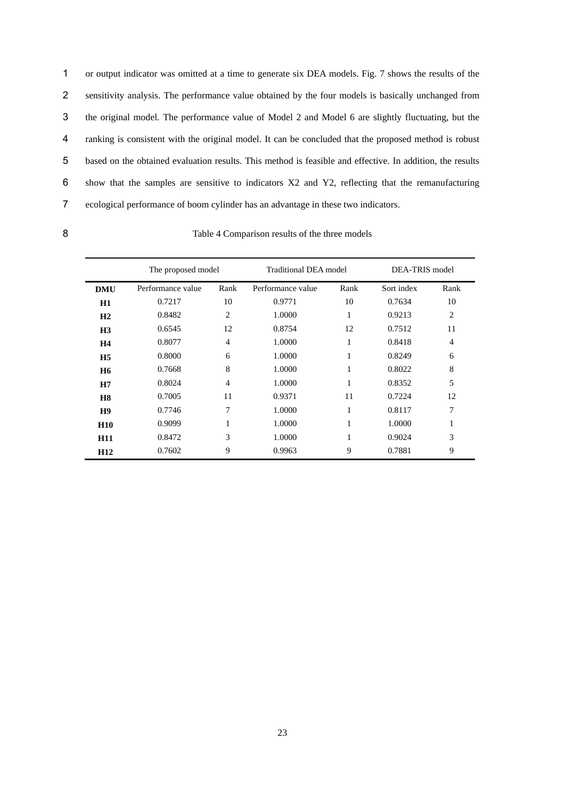or output indicator was omitted at a time to generate six DEA models. Fig. 7 shows the results of the sensitivity analysis. The performance value obtained by the four models is basically unchanged from the original model. The performance value of Model 2 and Model 6 are slightly fluctuating, but the ranking is consistent with the original model. It can be concluded that the proposed method is robust based on the obtained evaluation results. This method is feasible and effective. In addition, the results show that the samples are sensitive to indicators X2 and Y2, reflecting that the remanufacturing ecological performance of boom cylinder has an advantage in these two indicators.

# 8 Table 4 Comparison results of the three models

|                 | The proposed model |                | Traditional DEA model |      | DEA-TRIS model |                |
|-----------------|--------------------|----------------|-----------------------|------|----------------|----------------|
| <b>DMU</b>      | Performance value  | Rank           | Performance value     | Rank | Sort index     | Rank           |
| H1              | 0.7217             | 10             | 0.9771                | 10   | 0.7634         | 10             |
| H2              | 0.8482             | $\overline{2}$ | 1.0000                | 1    | 0.9213         | 2              |
| H <sub>3</sub>  | 0.6545             | 12             | 0.8754                | 12   | 0.7512         | 11             |
| <b>H4</b>       | 0.8077             | $\overline{4}$ | 1.0000                | 1    | 0.8418         | $\overline{4}$ |
| H <sub>5</sub>  | 0.8000             | 6              | 1.0000                | 1    | 0.8249         | 6              |
| <b>H6</b>       | 0.7668             | 8              | 1.0000                | 1    | 0.8022         | 8              |
| H7              | 0.8024             | $\overline{4}$ | 1.0000                | 1    | 0.8352         | 5              |
| H <sub>8</sub>  | 0.7005             | 11             | 0.9371                | 11   | 0.7224         | 12             |
| H <sub>9</sub>  | 0.7746             | 7              | 1.0000                | 1    | 0.8117         | 7              |
| <b>H10</b>      | 0.9099             | 1              | 1.0000                | 1    | 1.0000         | 1              |
| H <sub>11</sub> | 0.8472             | 3              | 1.0000                | 1    | 0.9024         | 3              |
| H <sub>12</sub> | 0.7602             | 9              | 0.9963                | 9    | 0.7881         | 9              |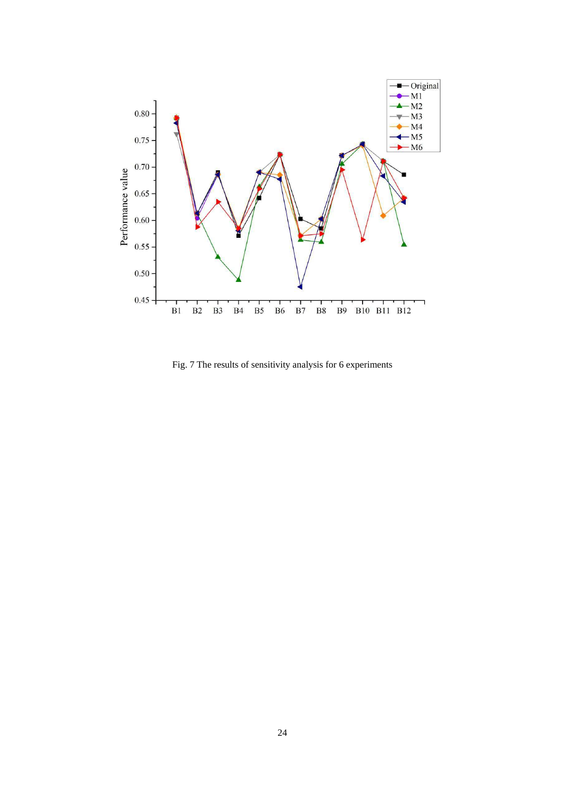

Fig. 7 The results of sensitivity analysis for 6 experiments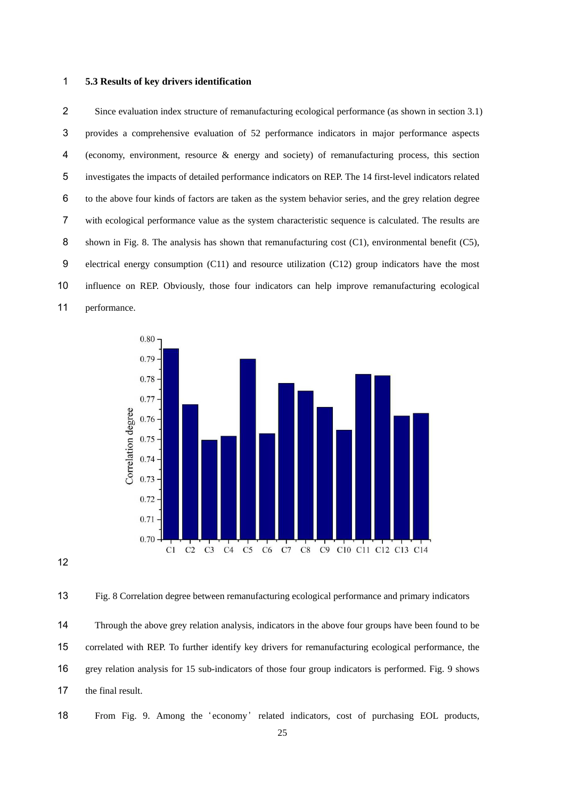# **5.3 Results of key drivers identification**

Since evaluation index structure of remanufacturing ecological performance (as shown in section 3.1) provides a comprehensive evaluation of 52 performance indicators in major performance aspects (economy, environment, resource & energy and society) of remanufacturing process, this section investigates the impacts of detailed performance indicators on REP. The 14 first-level indicators related to the above four kinds of factors are taken as the system behavior series, and the grey relation degree with ecological performance value as the system characteristic sequence is calculated. The results are 8 shown in Fig. 8. The analysis has shown that remanufacturing cost (C1), environmental benefit (C5), electrical energy consumption (C11) and resource utilization (C12) group indicators have the most influence on REP. Obviously, those four indicators can help improve remanufacturing ecological performance.



 Fig. 8 Correlation degree between remanufacturing ecological performance and primary indicators Through the above grey relation analysis, indicators in the above four groups have been found to be correlated with REP. To further identify key drivers for remanufacturing ecological performance, the grey relation analysis for 15 sub-indicators of those four group indicators is performed. Fig. 9 shows the final result.



From Fig. 9. Among the ' economy ' related indicators, cost of purchasing EOL products,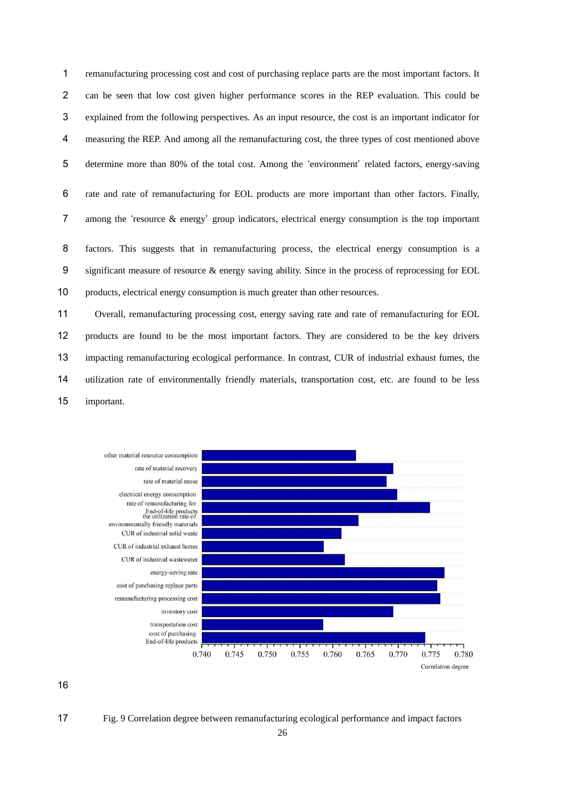remanufacturing processing cost and cost of purchasing replace parts are the most important factors. It can be seen that low cost given higher performance scores in the REP evaluation. This could be explained from the following perspectives. As an input resource, the cost is an important indicator for measuring the REP. And among all the remanufacturing cost, the three types of cost mentioned above determine more than 80% of the total cost. Among the 'environment' related factors, energy-saving rate and rate of remanufacturing for EOL products are more important than other factors. Finally, among the 'resource & energy' group indicators, electrical energy consumption is the top important factors. This suggests that in remanufacturing process, the electrical energy consumption is a significant measure of resource & energy saving ability. Since in the process of reprocessing for EOL products, electrical energy consumption is much greater than other resources. Overall, remanufacturing processing cost, energy saving rate and rate of remanufacturing for EOL

 products are found to be the most important factors. They are considered to be the key drivers impacting remanufacturing ecological performance. In contrast, CUR of industrial exhaust fumes, the utilization rate of environmentally friendly materials, transportation cost, etc. are found to be less important.



Fig. 9 Correlation degree between remanufacturing ecological performance and impact factors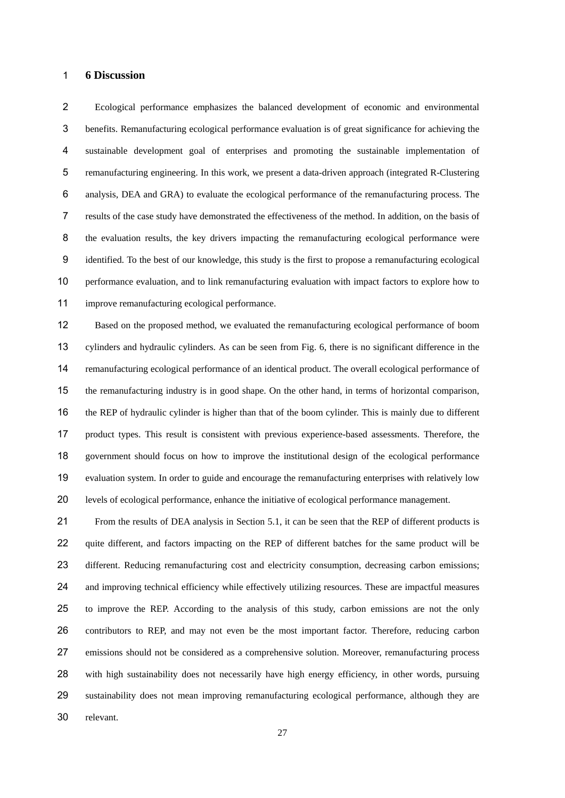# **6 Discussion**

Ecological performance emphasizes the balanced development of economic and environmental benefits. Remanufacturing ecological performance evaluation is of great significance for achieving the sustainable development goal of enterprises and promoting the sustainable implementation of remanufacturing engineering. In this work, we present a data-driven approach (integrated R-Clustering analysis, DEA and GRA) to evaluate the ecological performance of the remanufacturing process. The results of the case study have demonstrated the effectiveness of the method. In addition, on the basis of the evaluation results, the key drivers impacting the remanufacturing ecological performance were identified. To the best of our knowledge, this study is the first to propose a remanufacturing ecological performance evaluation, and to link remanufacturing evaluation with impact factors to explore how to improve remanufacturing ecological performance.

 Based on the proposed method, we evaluated the remanufacturing ecological performance of boom cylinders and hydraulic cylinders. As can be seen from Fig. 6, there is no significant difference in the remanufacturing ecological performance of an identical product. The overall ecological performance of the remanufacturing industry is in good shape. On the other hand, in terms of horizontal comparison, the REP of hydraulic cylinder is higher than that of the boom cylinder. This is mainly due to different product types. This result is consistent with previous experience-based assessments. Therefore, the government should focus on how to improve the institutional design of the ecological performance evaluation system. In order to guide and encourage the remanufacturing enterprises with relatively low levels of ecological performance, enhance the initiative of ecological performance management.

 From the results of DEA analysis in Section 5.1, it can be seen that the REP of different products is quite different, and factors impacting on the REP of different batches for the same product will be different. Reducing remanufacturing cost and electricity consumption, decreasing carbon emissions; 24 and improving technical efficiency while effectively utilizing resources. These are impactful measures to improve the REP. According to the analysis of this study, carbon emissions are not the only contributors to REP, and may not even be the most important factor. Therefore, reducing carbon emissions should not be considered as a comprehensive solution. Moreover, remanufacturing process with high sustainability does not necessarily have high energy efficiency, in other words, pursuing sustainability does not mean improving remanufacturing ecological performance, although they are relevant.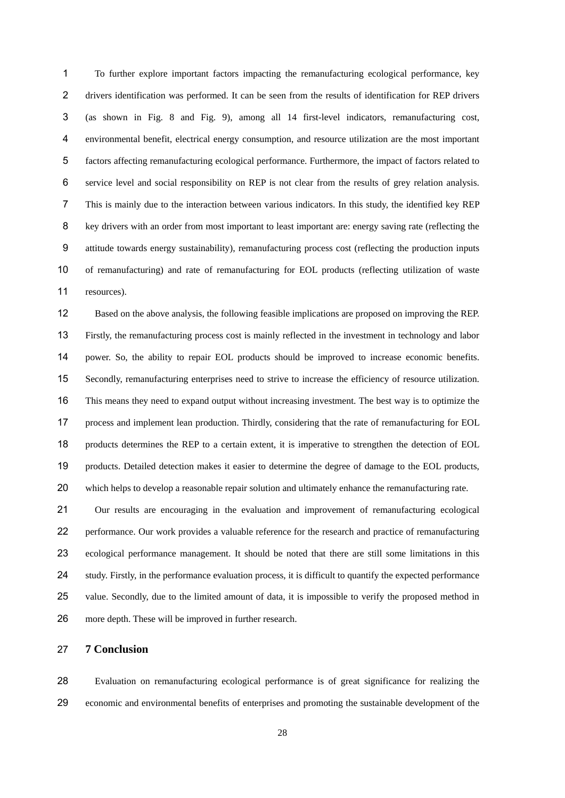To further explore important factors impacting the remanufacturing ecological performance, key drivers identification was performed. It can be seen from the results of identification for REP drivers (as shown in Fig. 8 and Fig. 9), among all 14 first-level indicators, remanufacturing cost, environmental benefit, electrical energy consumption, and resource utilization are the most important factors affecting remanufacturing ecological performance. Furthermore, the impact of factors related to service level and social responsibility on REP is not clear from the results of grey relation analysis. This is mainly due to the interaction between various indicators. In this study, the identified key REP 8 key drivers with an order from most important to least important are: energy saving rate (reflecting the attitude towards energy sustainability), remanufacturing process cost (reflecting the production inputs of remanufacturing) and rate of remanufacturing for EOL products (reflecting utilization of waste resources).

 Based on the above analysis, the following feasible implications are proposed on improving the REP. Firstly, the remanufacturing process cost is mainly reflected in the investment in technology and labor power. So, the ability to repair EOL products should be improved to increase economic benefits. Secondly, remanufacturing enterprises need to strive to increase the efficiency of resource utilization. This means they need to expand output without increasing investment. The best way is to optimize the process and implement lean production. Thirdly, considering that the rate of remanufacturing for EOL products determines the REP to a certain extent, it is imperative to strengthen the detection of EOL products. Detailed detection makes it easier to determine the degree of damage to the EOL products, which helps to develop a reasonable repair solution and ultimately enhance the remanufacturing rate.

 Our results are encouraging in the evaluation and improvement of remanufacturing ecological performance. Our work provides a valuable reference for the research and practice of remanufacturing ecological performance management. It should be noted that there are still some limitations in this study. Firstly, in the performance evaluation process, it is difficult to quantify the expected performance value. Secondly, due to the limited amount of data, it is impossible to verify the proposed method in more depth. These will be improved in further research.

# **7 Conclusion**

 Evaluation on remanufacturing ecological performance is of great significance for realizing the economic and environmental benefits of enterprises and promoting the sustainable development of the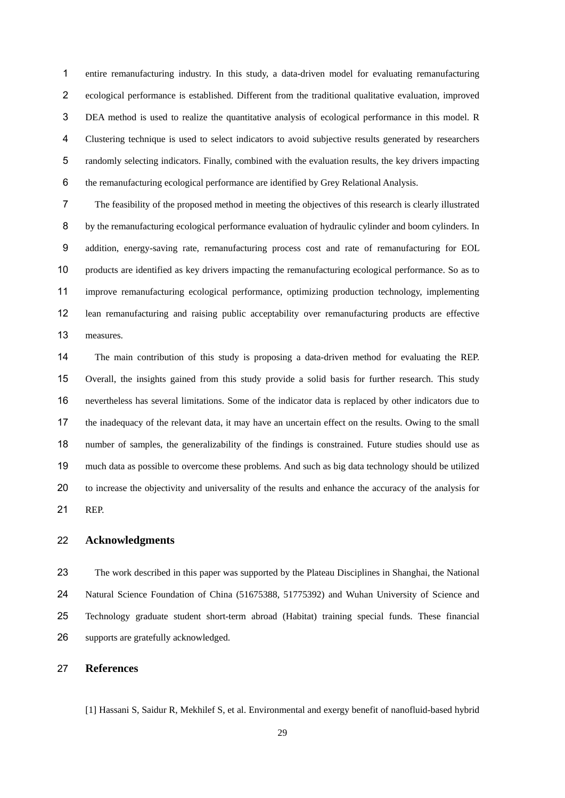entire remanufacturing industry. In this study, a data-driven model for evaluating remanufacturing ecological performance is established. Different from the traditional qualitative evaluation, improved DEA method is used to realize the quantitative analysis of ecological performance in this model. R Clustering technique is used to select indicators to avoid subjective results generated by researchers randomly selecting indicators. Finally, combined with the evaluation results, the key drivers impacting the remanufacturing ecological performance are identified by Grey Relational Analysis.

The feasibility of the proposed method in meeting the objectives of this research is clearly illustrated by the remanufacturing ecological performance evaluation of hydraulic cylinder and boom cylinders. In addition, energy-saving rate, remanufacturing process cost and rate of remanufacturing for EOL products are identified as key drivers impacting the remanufacturing ecological performance. So as to improve remanufacturing ecological performance, optimizing production technology, implementing lean remanufacturing and raising public acceptability over remanufacturing products are effective measures.

 The main contribution of this study is proposing a data-driven method for evaluating the REP. Overall, the insights gained from this study provide a solid basis for further research. This study nevertheless has several limitations. Some of the indicator data is replaced by other indicators due to the inadequacy of the relevant data, it may have an uncertain effect on the results. Owing to the small number of samples, the generalizability of the findings is constrained. Future studies should use as much data as possible to overcome these problems. And such as big data technology should be utilized to increase the objectivity and universality of the results and enhance the accuracy of the analysis for REP.

# **Acknowledgments**

 The work described in this paper was supported by the Plateau Disciplines in Shanghai, the National Natural Science Foundation of China (51675388, 51775392) and Wuhan University of Science and Technology graduate student short-term abroad (Habitat) training special funds. These financial supports are gratefully acknowledged.

# **References**

[1] Hassani S, Saidur R, Mekhilef S, et al. Environmental and exergy benefit of nanofluid-based hybrid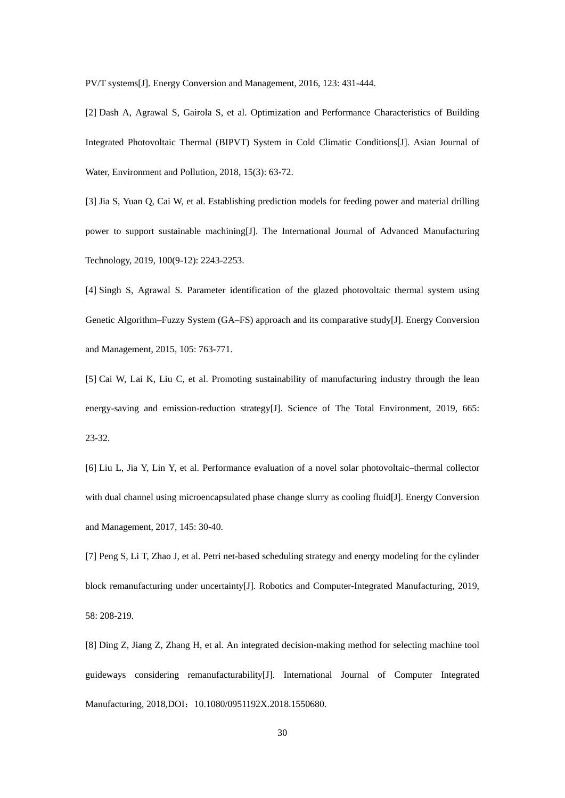PV/T systems[J]. Energy Conversion and Management, 2016, 123: 431-444.

[2] Dash A, Agrawal S, Gairola S, et al. Optimization and Performance Characteristics of Building Integrated Photovoltaic Thermal (BIPVT) System in Cold Climatic Conditions[J]. Asian Journal of Water, Environment and Pollution, 2018, 15(3): 63-72.

[3] Jia S, Yuan Q, Cai W, et al. Establishing prediction models for feeding power and material drilling power to support sustainable machining[J]. The International Journal of Advanced Manufacturing Technology, 2019, 100(9-12): 2243-2253.

[4] Singh S, Agrawal S. Parameter identification of the glazed photovoltaic thermal system using Genetic Algorithm–Fuzzy System (GA–FS) approach and its comparative study[J]. Energy Conversion and Management, 2015, 105: 763-771.

[5] Cai W, Lai K, Liu C, et al. Promoting sustainability of manufacturing industry through the lean energy-saving and emission-reduction strategy[J]. Science of The Total Environment, 2019, 665: 23-32.

[6] Liu L, Jia Y, Lin Y, et al. Performance evaluation of a novel solar photovoltaic–thermal collector with dual channel using microencapsulated phase change slurry as cooling fluid[J]. Energy Conversion and Management, 2017, 145: 30-40.

[7] Peng S, Li T, Zhao J, et al. Petri net-based scheduling strategy and energy modeling for the cylinder block remanufacturing under uncertainty[J]. Robotics and Computer-Integrated Manufacturing, 2019, 58: 208-219.

[8] Ding Z, Jiang Z, Zhang H, et al. An integrated decision-making method for selecting machine tool guideways considering remanufacturability[J]. International Journal of Computer Integrated Manufacturing, 2018, DOI: 10.1080/0951192X. 2018.1550680.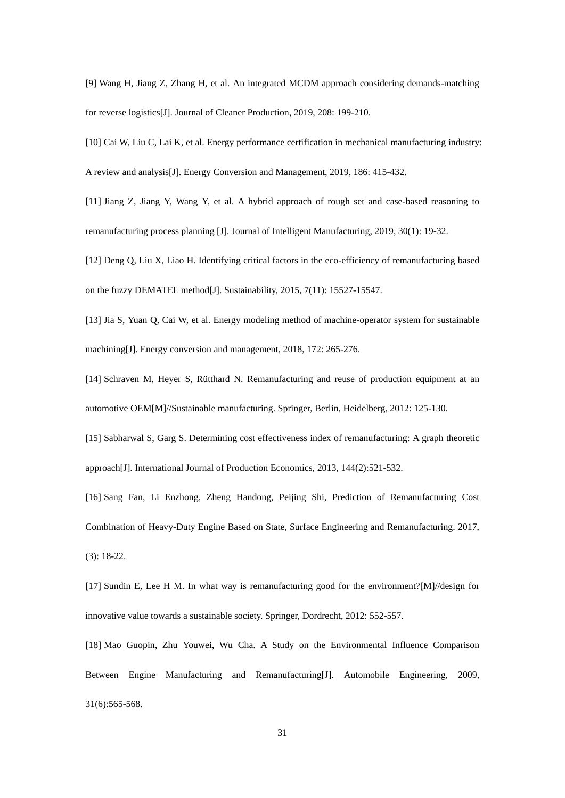[9] Wang H, Jiang Z, Zhang H, et al. An integrated MCDM approach considering demands-matching for reverse logistics[J]. Journal of Cleaner Production, 2019, 208: 199-210.

[10] Cai W, Liu C, Lai K, et al. Energy performance certification in mechanical manufacturing industry: A review and analysis[J]. Energy Conversion and Management, 2019, 186: 415-432.

[11] Jiang Z, Jiang Y, Wang Y, et al. A hybrid approach of rough set and case-based reasoning to remanufacturing process planning [J]. Journal of Intelligent Manufacturing, 2019, 30(1): 19-32.

[12] Deng Q, Liu X, Liao H. Identifying critical factors in the eco-efficiency of remanufacturing based on the fuzzy DEMATEL method[J]. Sustainability, 2015, 7(11): 15527-15547.

[13] Jia S, Yuan Q, Cai W, et al. Energy modeling method of machine-operator system for sustainable machining[J]. Energy conversion and management, 2018, 172: 265-276.

[14] Schraven M, Heyer S, Rütthard N. Remanufacturing and reuse of production equipment at an automotive OEM[M]//Sustainable manufacturing. Springer, Berlin, Heidelberg, 2012: 125-130.

[15] Sabharwal S, Garg S. Determining cost effectiveness index of remanufacturing: A graph theoretic approach[J]. International Journal of Production Economics, 2013, 144(2):521-532.

[16] Sang Fan, Li Enzhong, Zheng Handong, Peijing Shi, Prediction of Remanufacturing Cost Combination of Heavy-Duty Engine Based on State, Surface Engineering and Remanufacturing. 2017, (3): 18-22.

[17] Sundin E, Lee H M. In what way is remanufacturing good for the environment?[M]//design for innovative value towards a sustainable society. Springer, Dordrecht, 2012: 552-557.

[18] Mao Guopin, Zhu Youwei, Wu Cha. A Study on the Environmental Influence Comparison Between Engine Manufacturing and Remanufacturing[J]. Automobile Engineering, 2009, 31(6):565-568.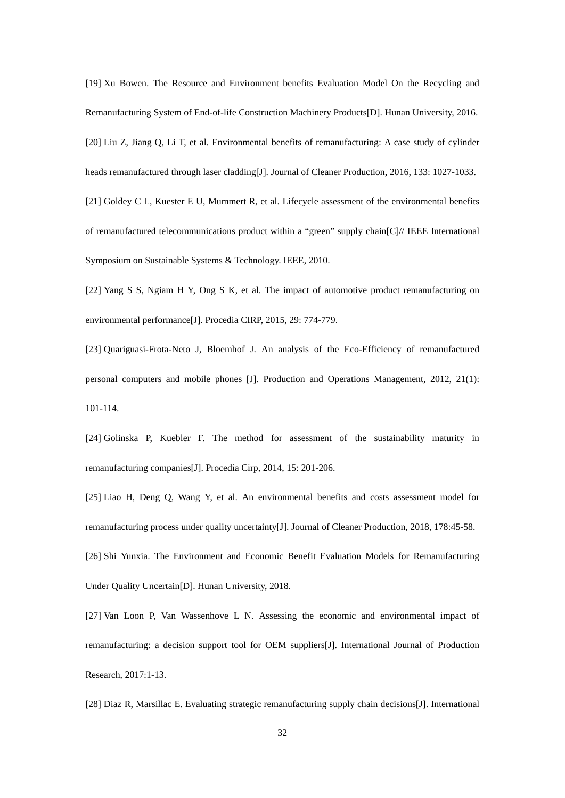[19] Xu Bowen. The Resource and Environment benefits Evaluation Model On the Recycling and Remanufacturing System of End-of-life Construction Machinery Products[D]. Hunan University, 2016. [20] Liu Z, Jiang Q, Li T, et al. Environmental benefits of remanufacturing: A case study of cylinder heads remanufactured through laser cladding[J]. Journal of Cleaner Production, 2016, 133: 1027-1033. [21] Goldey C L, Kuester E U, Mummert R, et al. Lifecycle assessment of the environmental benefits of remanufactured telecommunications product within a "green" supply chain[C]// IEEE International

Symposium on Sustainable Systems & Technology. IEEE, 2010.

[22] Yang S S, Ngiam H Y, Ong S K, et al. The impact of automotive product remanufacturing on environmental performance[J]. Procedia CIRP, 2015, 29: 774-779.

[23] Quariguasi-Frota-Neto J, Bloemhof J. An analysis of the Eco-Efficiency of remanufactured personal computers and mobile phones [J]. Production and Operations Management, 2012, 21(1): 101-114.

[24] Golinska P, Kuebler F. The method for assessment of the sustainability maturity in remanufacturing companies[J]. Procedia Cirp, 2014, 15: 201-206.

[25] Liao H, Deng Q, Wang Y, et al. An environmental benefits and costs assessment model for remanufacturing process under quality uncertainty[J]. Journal of Cleaner Production, 2018, 178:45-58. [26] Shi Yunxia. The Environment and Economic Benefit Evaluation Models for Remanufacturing Under Quality Uncertain[D]. Hunan University, 2018.

[27] Van Loon P, Van Wassenhove L N. Assessing the economic and environmental impact of remanufacturing: a decision support tool for OEM suppliers[J]. International Journal of Production Research, 2017:1-13.

[28] Diaz R, Marsillac E. Evaluating strategic remanufacturing supply chain decisions[J]. International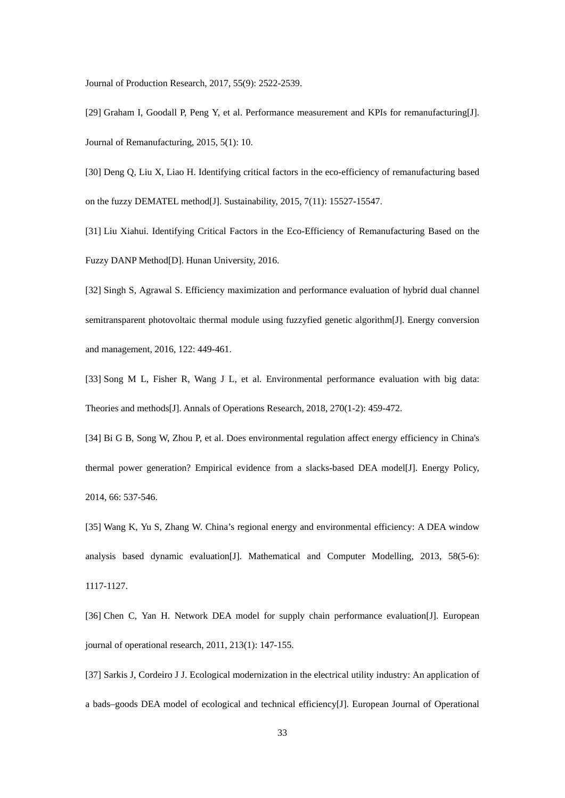Journal of Production Research, 2017, 55(9): 2522-2539.

[29] Graham I, Goodall P, Peng Y, et al. Performance measurement and KPIs for remanufacturing[J]. Journal of Remanufacturing, 2015, 5(1): 10.

[30] Deng Q, Liu X, Liao H. Identifying critical factors in the eco-efficiency of remanufacturing based on the fuzzy DEMATEL method[J]. Sustainability, 2015, 7(11): 15527-15547.

[31] Liu Xiahui. Identifying Critical Factors in the Eco-Efficiency of Remanufacturing Based on the Fuzzy DANP Method[D]. Hunan University, 2016.

[32] Singh S, Agrawal S. Efficiency maximization and performance evaluation of hybrid dual channel semitransparent photovoltaic thermal module using fuzzyfied genetic algorithm[J]. Energy conversion and management, 2016, 122: 449-461.

[33] Song M L, Fisher R, Wang J L, et al. Environmental performance evaluation with big data: Theories and methods[J]. Annals of Operations Research, 2018, 270(1-2): 459-472.

[34] Bi G B, Song W, Zhou P, et al. Does environmental regulation affect energy efficiency in China's thermal power generation? Empirical evidence from a slacks-based DEA model[J]. Energy Policy, 2014, 66: 537-546.

[35] Wang K, Yu S, Zhang W. China's regional energy and environmental efficiency: A DEA window analysis based dynamic evaluation[J]. Mathematical and Computer Modelling, 2013, 58(5-6): 1117-1127.

[36] Chen C, Yan H. Network DEA model for supply chain performance evaluation[J]. European journal of operational research, 2011, 213(1): 147-155.

[37] Sarkis J, Cordeiro J J. Ecological modernization in the electrical utility industry: An application of a bads–goods DEA model of ecological and technical efficiency[J]. European Journal of Operational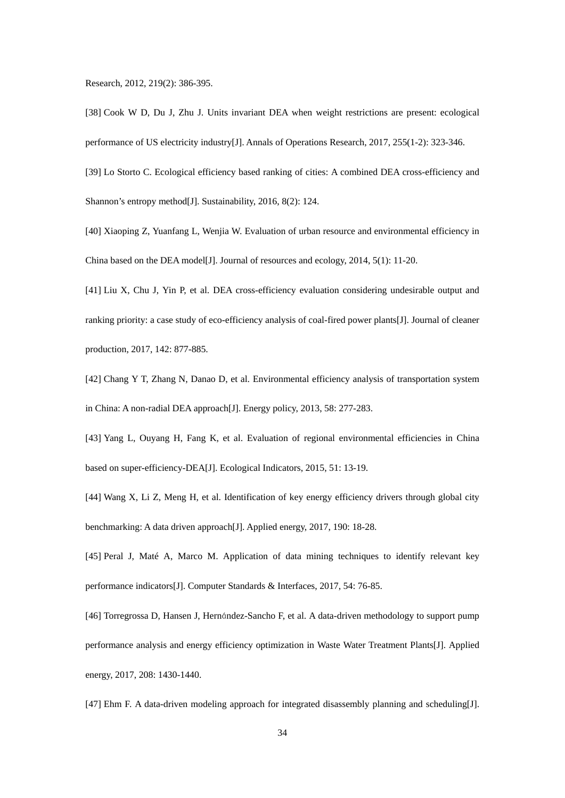Research, 2012, 219(2): 386-395.

[38] Cook W D, Du J, Zhu J. Units invariant DEA when weight restrictions are present: ecological performance of US electricity industry[J]. Annals of Operations Research, 2017, 255(1-2): 323-346.

[39] Lo Storto C. Ecological efficiency based ranking of cities: A combined DEA cross-efficiency and Shannon's entropy method[J]. Sustainability, 2016, 8(2): 124.

[40] Xiaoping Z, Yuanfang L, Wenjia W. Evaluation of urban resource and environmental efficiency in China based on the DEA model[J]. Journal of resources and ecology, 2014, 5(1): 11-20.

[41] Liu X, Chu J, Yin P, et al. DEA cross-efficiency evaluation considering undesirable output and ranking priority: a case study of eco-efficiency analysis of coal-fired power plants[J]. Journal of cleaner production, 2017, 142: 877-885.

[42] Chang Y T, Zhang N, Danao D, et al. Environmental efficiency analysis of transportation system in China: A non-radial DEA approach[J]. Energy policy, 2013, 58: 277-283.

[43] Yang L, Ouyang H, Fang K, et al. Evaluation of regional environmental efficiencies in China based on super-efficiency-DEA[J]. Ecological Indicators, 2015, 51: 13-19.

[44] Wang X, Li Z, Meng H, et al. Identification of key energy efficiency drivers through global city benchmarking: A data driven approach[J]. Applied energy, 2017, 190: 18-28.

[45] Peral J, Maté A, Marco M. Application of data mining techniques to identify relevant key performance indicators[J]. Computer Standards & Interfaces, 2017, 54: 76-85.

[46] Torregrossa D, Hansen J, Hernández-Sancho F, et al. A data-driven methodology to support pump performance analysis and energy efficiency optimization in Waste Water Treatment Plants[J]. Applied energy, 2017, 208: 1430-1440.

[47] Ehm F. A data-driven modeling approach for integrated disassembly planning and scheduling[J].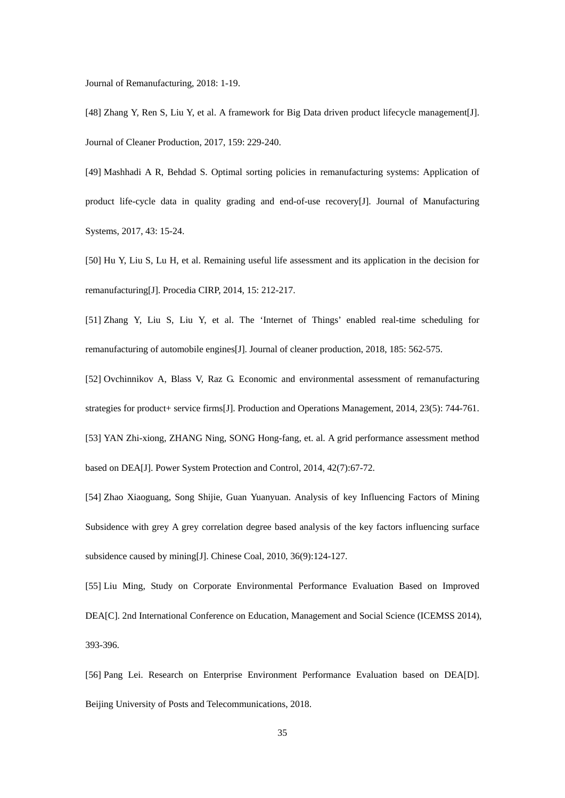Journal of Remanufacturing, 2018: 1-19.

[48] Zhang Y, Ren S, Liu Y, et al. A framework for Big Data driven product lifecycle management[J]. Journal of Cleaner Production, 2017, 159: 229-240.

[49] Mashhadi A R, Behdad S. Optimal sorting policies in remanufacturing systems: Application of product life-cycle data in quality grading and end-of-use recovery[J]. Journal of Manufacturing Systems, 2017, 43: 15-24.

[50] Hu Y, Liu S, Lu H, et al. Remaining useful life assessment and its application in the decision for remanufacturing[J]. Procedia CIRP, 2014, 15: 212-217.

[51] Zhang Y, Liu S, Liu Y, et al. The 'Internet of Things' enabled real-time scheduling for remanufacturing of automobile engines[J]. Journal of cleaner production, 2018, 185: 562-575.

[52] Ovchinnikov A, Blass V, Raz G. Economic and environmental assessment of remanufacturing strategies for product+ service firms[J]. Production and Operations Management, 2014, 23(5): 744-761.

[53] YAN Zhi-xiong, ZHANG Ning, SONG Hong-fang, et. al. A grid performance assessment method based on DEA[J]. Power System Protection and Control, 2014, 42(7):67-72.

[54] Zhao Xiaoguang, Song Shijie, Guan Yuanyuan. Analysis of key Influencing Factors of Mining Subsidence with grey A grey correlation degree based analysis of the key factors influencing surface subsidence caused by mining[J]. Chinese Coal, 2010, 36(9):124-127.

[55] Liu Ming, Study on Corporate Environmental Performance Evaluation Based on Improved DEA[C]. 2nd International Conference on Education, Management and Social Science (ICEMSS 2014), 393-396.

[56] Pang Lei. Research on Enterprise Environment Performance Evaluation based on DEA[D]. Beijing University of Posts and Telecommunications, 2018.